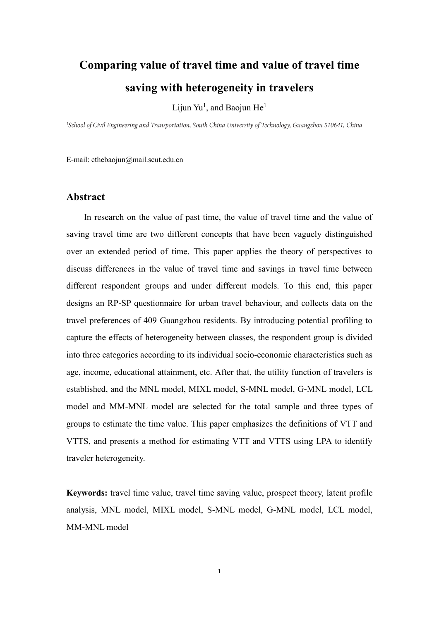# **Comparing value of travel time and value of travel time saving with heterogeneity in travelers**

Lijun Yu<sup>1</sup>, and Baojun He<sup>1</sup>

<sup>1</sup>School of Civil Engineering and Transportation, South China University of Technology, Guangzhou 510641, China

E-mail: cthebaojun@mail.scut.edu.cn

# **Abstract**

In research on the value of past time, the value of travel time and the value of saving travel time are two different concepts that have been vaguely distinguished over an extended period of time. This paper applies the theory of perspectives to discuss differences in the value of travel time and savings in travel time between different respondent groups and under different models. To this end, this paper designs an RP-SP questionnaire for urban travel behaviour, and collects data on the travel preferences of 409 Guangzhou residents. By introducing potential profiling to capture the effects of heterogeneity between classes, the respondent group is divided into three categories according to its individual socio-economic characteristics such as age, income, educational attainment, etc. After that, the utility function of travelers is established, and the MNL model, MIXL model, S-MNL model, G-MNL model, LCL model and MM-MNL model are selected for the total sample and three types of groups to estimate the time value. This paper emphasizes the definitions of VTT and VTTS, and presents a method for estimating VTT and VTTS using LPA to identify traveler heterogeneity.

**Keywords:** travel time value, travel time saving value, prospect theory, latent profile analysis, MNL model, MIXL model, S-MNL model, G-MNL model, LCL model, MM-MNL model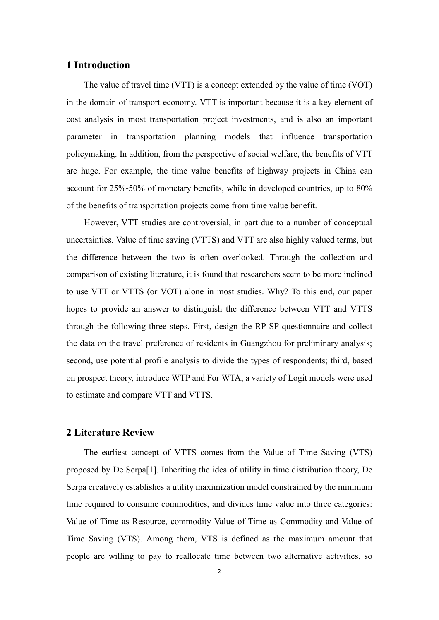## **1 Introduction**

The value of travel time (VTT) is a concept extended by the value of time (VOT) in the domain of transport economy. VTT is important because it is a key element of cost analysis in most transportation project investments, and is also an important parameter in transportation planning models that influence transportation policymaking. In addition, from the perspective of social welfare, the benefits of VTT are huge. For example, the time value benefits of highway projects in China can account for 25%-50% of monetary benefits, while in developed countries, up to 80% of the benefits of transportation projects come from time value benefit.

However, VTT studies are controversial, in part due to a number of conceptual uncertainties. Value of time saving (VTTS) and VTT are also highly valued terms, but the difference between the two is often overlooked. Through the collection and comparison of existing literature, it is found that researchers seem to be more inclined to use VTT or VTTS (or VOT) alone in most studies. Why? To this end, our paper hopes to provide an answer to distinguish the difference between VTT and VTTS through the following three steps. First, design the RP-SP questionnaire and collect the data on the travel preference of residents in Guangzhou for preliminary analysis; second, use potential profile analysis to divide the types of respondents; third, based on prospect theory, introduce WTP and For WTA, a variety of Logit models were used to estimate and compare VTT and VTTS.

# **2 Literature Review**

The earliest concept of VTTS comes from the Value of Time Saving (VTS) proposed by De Serpa[1]. Inheriting the idea of utility in time distribution theory, De Serpa creatively establishes a utility maximization model constrained by the minimum time required to consume commodities, and divides time value into three categories: Value of Time as Resource, commodity Value of Time as Commodity and Value of Time Saving (VTS). Among them, VTS is defined as the maximum amount that people are willing to pay to reallocate time between two alternative activities, so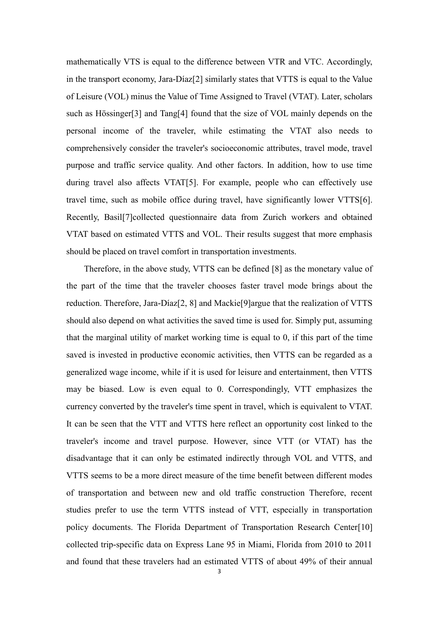mathematically VTS is equal to the difference between VTR and VTC. Accordingly, in the transport economy, Jara-Díaz[2] similarly states that VTTS is equal to the Value of Leisure (VOL) minus the Value of Time Assigned to Travel (VTAT). Later, scholars such as Hössinger[3] and Tang[4] found that the size of VOL mainly depends on the personal income of the traveler, while estimating the VTAT also needs to comprehensively consider the traveler's socioeconomic attributes, travel mode, travel purpose and traffic service quality. And other factors. In addition, how to use time during travel also affects VTAT[5]. For example, people who can effectively use travel time, such as mobile office during travel, have significantly lower VTTS[6]. Recently, Basil[7]collected questionnaire data from Zurich workers and obtained VTAT based on estimated VTTS and VOL. Their results suggest that more emphasis should be placed on travel comfort in transportation investments.

Therefore, in the above study, VTTS can be defined [8] as the monetary value of the part of the time that the traveler chooses faster travel mode brings about the reduction. Therefore, Jara-Díaz[2, 8] and Mackie[9]argue that the realization of VTTS should also depend on what activities the saved time is used for. Simply put, assuming that the marginal utility of market working time is equal to 0, if this part of the time saved is invested in productive economic activities, then VTTS can be regarded as a generalized wage income, while if it is used for leisure and entertainment, then VTTS may be biased. Low is even equal to 0. Correspondingly, VTT emphasizes the currency converted by the traveler's time spent in travel, which is equivalent to VTAT. It can be seen that the VTT and VTTS here reflect an opportunity cost linked to the traveler's income and travel purpose. However, since VTT (or VTAT) has the disadvantage that it can only be estimated indirectly through VOL and VTTS, and VTTS seems to be a more direct measure of the time benefit between different modes of transportation and between new and old traffic construction Therefore, recent studies prefer to use the term VTTS instead of VTT, especially in transportation policy documents. The Florida Department of Transportation Research Center[10] collected trip-specific data on Express Lane 95 in Miami, Florida from 2010 to 2011 and found that these travelers had an estimated VTTS of about 49% of their annual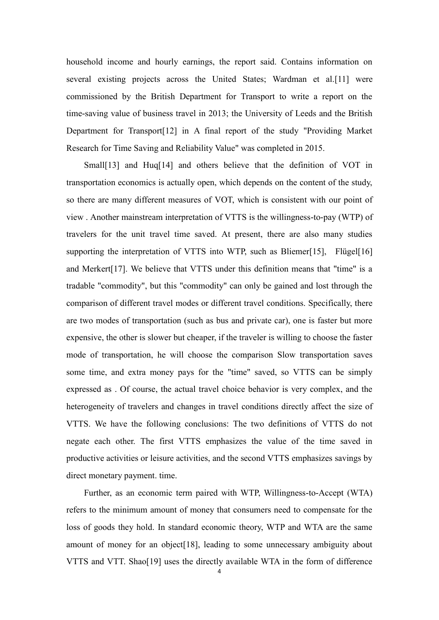household income and hourly earnings, the report said. Contains information on several existing projects across the United States; Wardman et al.[11] were commissioned by the British Department for Transport to write a report on the time-saving value of business travel in 2013; the University of Leeds and the British Department for Transport[12] in A final report of the study "Providing Market Research for Time Saving and Reliability Value" was completed in 2015.

Small<sup>[13]</sup> and Huq<sup>[14]</sup> and others believe that the definition of VOT in transportation economics is actually open, which depends on the content of the study, so there are many different measures of VOT, which is consistent with our point of view . Another mainstream interpretation of VTTS is the willingness-to-pay (WTP) of travelers for the unit travel time saved. At present, there are also many studies supporting the interpretation of VTTS into WTP, such as Bliemer[15], Flügel[16] and Merkert[17]. We believe that VTTS under this definition means that "time" is a tradable "commodity", but this "commodity" can only be gained and lost through the comparison of different travel modes or different travel conditions. Specifically, there are two modes of transportation (such as bus and private car), one is faster but more expensive, the other is slower but cheaper, if the traveler is willing to choose the faster mode of transportation, he will choose the comparison Slow transportation saves some time, and extra money pays for the "time" saved, so VTTS can be simply expressed as . Of course, the actual travel choice behavior is very complex, and the heterogeneity of travelers and changes in travel conditions directly affect the size of VTTS. We have the following conclusions: The two definitions of VTTS do not negate each other. The first VTTS emphasizes the value of the time saved in productive activities or leisure activities, and the second VTTS emphasizes savings by direct monetary payment. time.

Further, as an economic term paired with WTP, Willingness-to-Accept (WTA) refers to the minimum amount of money that consumers need to compensate for the loss of goods they hold. In standard economic theory, WTP and WTA are the same amount of money for an object[18], leading to some unnecessary ambiguity about VTTS and VTT. Shao[19] uses the directly available WTA in the form of difference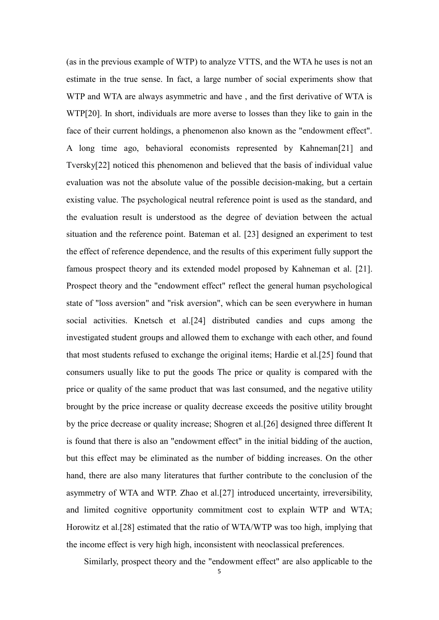(as in the previous example of WTP) to analyze VTTS, and the WTA he uses is not an estimate in the true sense. In fact, a large number of social experiments show that WTP and WTA are always asymmetric and have , and the first derivative of WTA is WTP[20]. In short, individuals are more averse to losses than they like to gain in the face of their current holdings, a phenomenon also known as the "endowment effect". A long time ago, behavioral economists represented by Kahneman[21] and Tversky[22] noticed this phenomenon and believed that the basis of individual value evaluation was not the absolute value of the possible decision-making, but a certain existing value. The psychological neutral reference point is used as the standard, and the evaluation result is understood as the degree of deviation between the actual situation and the reference point. Bateman et al. [23] designed an experiment to test the effect of reference dependence, and the results of this experiment fully support the famous prospect theory and its extended model proposed by Kahneman et al. [21]. Prospect theory and the "endowment effect" reflect the general human psychological state of "loss aversion" and "risk aversion", which can be seen everywhere in human social activities. Knetsch et al.[24] distributed candies and cups among the investigated student groups and allowed them to exchange with each other, and found that most students refused to exchange the original items; Hardie et al.[25] found that consumers usually like to put the goods The price or quality is compared with the price or quality of the same product that was last consumed, and the negative utility brought by the price increase or quality decrease exceeds the positive utility brought by the price decrease or quality increase; Shogren et al.[26] designed three different It is found that there is also an "endowment effect" in the initial bidding of the auction, but this effect may be eliminated as the number of bidding increases. On the other hand, there are also many literatures that further contribute to the conclusion of the asymmetry of WTA and WTP. Zhao et al.[27] introduced uncertainty, irreversibility, and limited cognitive opportunity commitment cost to explain WTP and WTA; Horowitz et al.[28] estimated that the ratio of WTA/WTP was too high, implying that the income effect is very high high, inconsistent with neoclassical preferences.

Similarly, prospect theory and the "endowment effect" are also applicable to the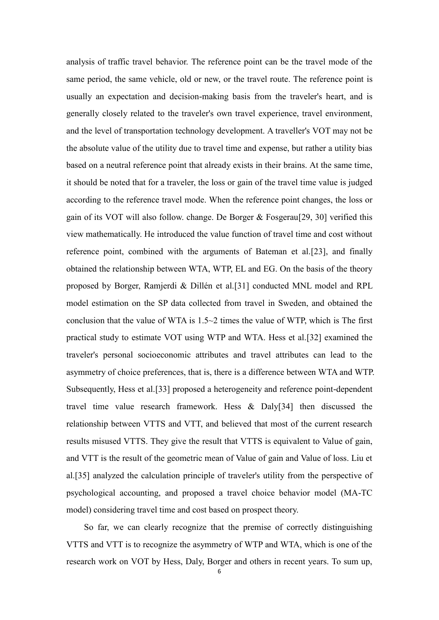analysis of traffic travel behavior. The reference point can be the travel mode of the same period, the same vehicle, old or new, or the travel route. The reference point is usually an expectation and decision-making basis from the traveler's heart, and is generally closely related to the traveler's own travel experience, travel environment, and the level of transportation technology development. A traveller's VOT may not be the absolute value of the utility due to travel time and expense, but rather a utility bias based on a neutral reference point that already exists in their brains. At the same time, it should be noted that for a traveler, the loss or gain of the travel time value is judged according to the reference travel mode. When the reference point changes, the loss or gain of its VOT will also follow. change. De Borger & Fosgerau[29, 30] verified this view mathematically. He introduced the value function of travel time and cost without reference point, combined with the arguments of Bateman et al.[23], and finally obtained the relationship between WTA, WTP, EL and EG. On the basis of the theory proposed by Borger, Ramjerdi & Dillén et al.[31] conducted MNL model and RPL model estimation on the SP data collected from travel in Sweden, and obtained the conclusion that the value of WTA is  $1.5 \sim 2$  times the value of WTP, which is The first practical study to estimate VOT using WTP and WTA. Hess et al.[32] examined the traveler's personal socioeconomic attributes and travel attributes can lead to the asymmetry of choice preferences, that is, there is a difference between WTA and WTP. Subsequently, Hess et al.[33] proposed a heterogeneity and reference point-dependent travel time value research framework. Hess & Daly[34] then discussed the relationship between VTTS and VTT, and believed that most of the current research results misused VTTS. They give the result that VTTS is equivalent to Value of gain, and VTT is the result of the geometric mean of Value of gain and Value of loss. Liu et al.[35] analyzed the calculation principle of traveler's utility from the perspective of psychological accounting, and proposed a travel choice behavior model (MA-TC model) considering travel time and cost based on prospect theory.

So far, we can clearly recognize that the premise of correctly distinguishing VTTS and VTT is to recognize the asymmetry of WTP and WTA, which is one of the research work on VOT by Hess, Daly, Borger and others in recent years. To sum up,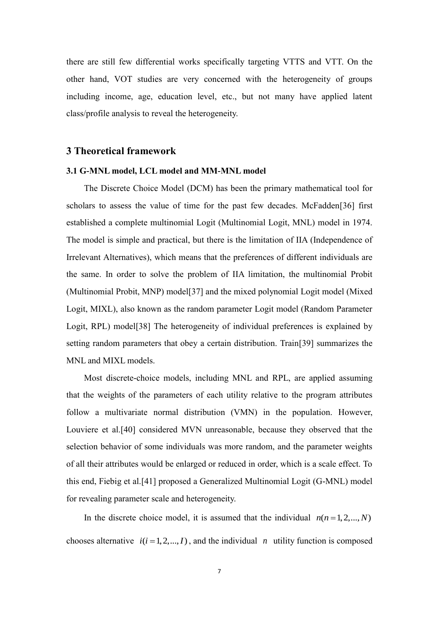there are still few differential works specifically targeting VTTS and VTT. On the other hand, VOT studies are very concerned with the heterogeneity of groups including income, age, education level, etc., but not many have applied latent class/profile analysis to reveal the heterogeneity.

### **3 Theoretical framework**

#### **3.1 G-MNL model, LCL model and MM-MNL model**

The Discrete Choice Model (DCM) has been the primary mathematical tool for scholars to assess the value of time for the past few decades. McFadden[36] first established a complete multinomial Logit (Multinomial Logit, MNL) model in 1974. The model is simple and practical, but there is the limitation of IIA (Independence of Irrelevant Alternatives), which means that the preferences of different individuals are the same. In order to solve the problem of IIA limitation, the multinomial Probit (Multinomial Probit, MNP) model[37] and the mixed polynomial Logit model (Mixed Logit, MIXL), also known as the random parameter Logit model (Random Parameter Logit, RPL) model[38] The heterogeneity of individual preferences is explained by setting random parameters that obey a certain distribution. Train[39] summarizes the MNL and MIXL models.

Most discrete-choice models, including MNL and RPL, are applied assuming that the weights of the parameters of each utility relative to the program attributes follow a multivariate normal distribution (VMN) in the population. However, Louviere et al.[40] considered MVN unreasonable, because they observed that the selection behavior of some individuals was more random, and the parameter weights of all their attributes would be enlarged or reduced in order, which is a scale effect. To this end, Fiebig et al.[41] proposed a Generalized Multinomial Logit (G-MNL) model for revealing parameter scale and heterogeneity.

In the discrete choice model, it is assumed that the individual  $n(n=1,2,...,N)$ chooses alternative  $i(i = 1, 2, ..., I)$ , and the individual *n* utility function is composed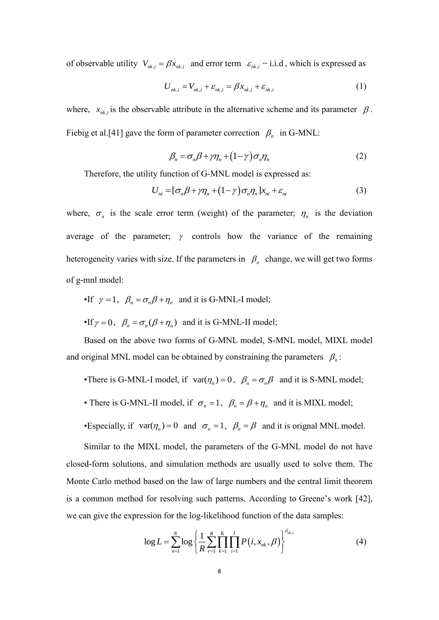of observable utility  $V_{nk,i} = \beta x_{nk,i}$  and error term  $\varepsilon_{nk,i} \sim i.i.d$ , which is expressed as

$$
U_{nk,i} = V_{nk,i} + \varepsilon_{nk,i} = \beta x_{nk,i} + \varepsilon_{nk,i}
$$
 (1)

where,  $x_{nk,i}$  is the observable attribute in the alternative scheme and its parameter  $\beta$ . Fiebig et al.<sup>[41]</sup> gave the form of parameter correction  $\beta_n$  in G-MNL:

$$
\beta_n = \sigma_n \beta + \gamma \eta_n + (1 - \gamma) \sigma_n \eta_n \tag{2}
$$

Therefore, the utility function of G-MNL model is expressed as:

$$
U_{ni} = [\sigma_n \beta + \gamma \eta_n + (1 - \gamma) \sigma_n \eta_n] x_{ni} + \varepsilon_{ni}
$$
\n(3)

where,  $\sigma_n$  is the scale error term (weight) of the parameter;  $\eta_n$  is the deviation average of the parameter;  $\gamma$  controls how the variance of the remaining heterogeneity varies with size. If the parameters in  $\beta_n$  change, we will get two forms of g-mnl model:

• If 
$$
\gamma = 1
$$
,  $\beta_n = \sigma_n \beta + \eta_n$  and it is G-MNL-I model;

• If 
$$
\gamma = 0
$$
,  $\beta_n = \sigma_n(\beta + \eta_n)$  and it is G-MNL-II model;

Based on the above two forms of G-MNL model, S-MNL model, MIXL model and original MNL model can be obtained by constraining the parameters  $\beta_n$ :

- •There is G-MNL-I model, if  $var(\eta_n) = 0$ ,  $\beta_n = \sigma_n \beta$  and it is S-MNL model;
- There is G-MNL-II model, if  $\sigma_n = 1$ ,  $\beta_n = \beta + \eta_n$  and it is MIXL model;
- •Especially, if  $var(\eta_n) = 0$  and  $\sigma_n = 1$ ,  $\beta_n = \beta$  and it is orignal MNL model.

Similar to the MIXL model, the parameters of the G-MNL model do not have closed-form solutions, and simulation methods are usually used to solve them. The Monte Carlo method based on the law of large numbers and the central limit theorem is a common method for resolving such patterns. According to Greene's work [42], we can give the expression for the log-likelihood function of the data samples:

$$
\log L = \sum_{n=1}^{N} \log \left\{ \frac{1}{R} \sum_{r=1}^{R} \prod_{k=1}^{K} \prod_{i=1}^{I} P(i, x_{nk}, \beta) \right\}^{\delta_{nk,i}} \tag{4}
$$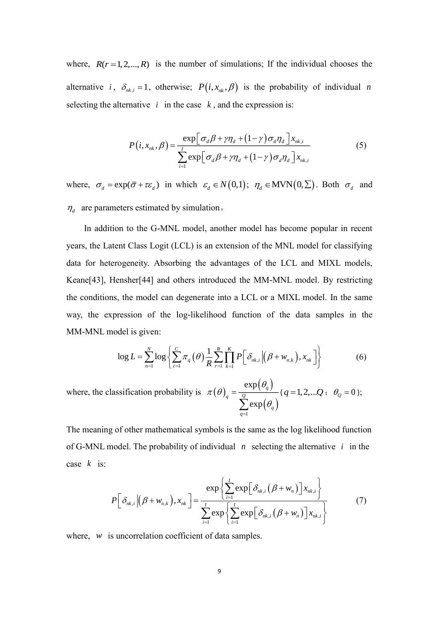where,  $R(r=1,2,...,R)$  is the number of simulations; If the individual chooses the alternative *i*,  $\delta_{nk,i} = 1$ , otherwise;  $P(i, x_{nk}, \beta)$  is the probability of individual *n* selecting the alternative  $i$  in the case  $k$ , and the expression is:

$$
P(i, x_{nk}, \beta) = \frac{\exp[\sigma_d \beta + \gamma \eta_d + (1 - \gamma) \sigma_d \eta_d] x_{nk,i}}{\sum_{i=1}^{I} \exp[\sigma_d \beta + \gamma \eta_d + (1 - \gamma) \sigma_d \eta_d] x_{nk,i}}
$$
(5)

where,  $\sigma_d = \exp(\overline{\sigma} + \tau \varepsilon_d)$  in which  $\varepsilon_d \in N(0,1)$ ;  $\eta_d \in \text{MVN}(0,\Sigma)$ . Both  $\sigma_d$  and  $\eta_d$  are parameters estimated by simulation.

In addition to the G-MNL model, another model has become popular in recent years, the Latent Class Logit (LCL) is an extension of the MNL model for classifying data for heterogeneity. Absorbing the advantages of the LCL and MIXL models, Keane[43], Hensher[44] and others introduced the MM-MNL model. By restricting the conditions, the model can degenerate into a LCL or a MIXL model. In the same way, the expression of the log-likelihood function of the data samples in the MM-MNL model is given:

odd is given:

\n
$$
\log L = \sum_{n=1}^{N} \log \left\{ \sum_{c=1}^{C} \pi_q(\theta) \frac{1}{R} \sum_{r=1}^{R} \prod_{k=1}^{K} P\left[\delta_{nk,i} \left| \left(\beta + w_{n,k} \right), x_{nk} \right] \right] \right\}
$$
\n(6)

where, the classification probability is  $\pi(\theta)$  $\left( \theta_{_{q}}\right)$  $\sum_{1} \exp(\theta_{q})$ exp exp *q <sup>q</sup> Q q q*  $\theta$  $\pi(\theta)$  $\theta$  $=\frac{Q}{\sum}$  $(q=1,2,...Q; \theta_{Q}=0);$ 

The meaning of other mathematical symbols is the same as the log likelihood function of G-MNL model. The probability of individual  $n$  selecting the alternative  $i$  in the case *k* is:

$$
P\left[\delta_{nk,i}\left|\left(\beta+w_{n,k}\right),x_{nk}\right.\right] = \frac{\exp\left\{\sum_{i=1}^{I}\exp\left[\delta_{nk,i}\left(\beta+w_{n}\right)\right]x_{nk,i}\right\}}{\sum_{i=1}^{I}\exp\left\{\sum_{i=1}^{I}\exp\left[\delta_{nk,i}\left(\beta+w_{n}\right)\right]x_{nk,i}\right\}}
$$
(7)

where, w is uncorrelation coefficient of data samples.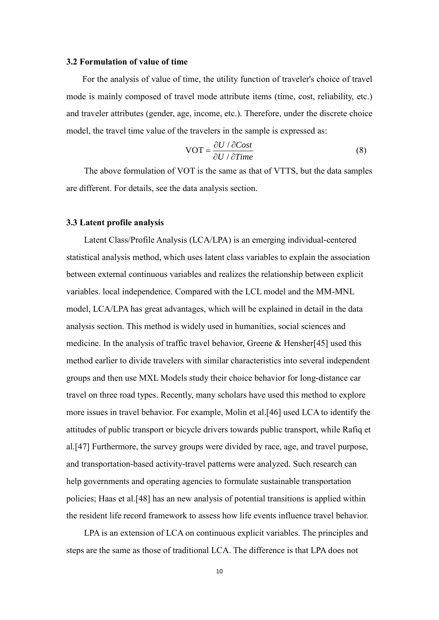#### **3.2 Formulation of value of time**

For the analysis of value of time, the utility function of traveler's choice of travel mode is mainly composed of travel mode attribute items (time, cost, reliability, etc.) and traveler attributes (gender, age, income, etc.). Therefore, under the discrete choice model, the travel time value of the travelers in the sample is expressed as:

$$
VOT = \frac{\partial U / \partial Cost}{\partial U / \partial Time}
$$
 (8)

The above formulation of VOT is the same as that of VTTS, but the data samples are different. For details, see the data analysis section.

#### **3.3 Latent profile analysis**

Latent Class/Profile Analysis (LCA/LPA) is an emerging individual-centered statistical analysis method, which uses latent class variables to explain the association between external continuous variables and realizes the relationship between explicit variables. local independence. Compared with the LCL model and the MM-MNL model, LCA/LPA has great advantages, which will be explained in detail in the data analysis section. This method is widely used in humanities, social sciences and medicine. In the analysis of traffic travel behavior, Greene & Hensher[45] used this method earlier to divide travelers with similar characteristics into several independent groups and then use MXL Models study their choice behavior for long-distance car travel on three road types. Recently, many scholars have used this method to explore more issues in travel behavior. For example, Molin et al.[46] used LCA to identify the attitudes of public transport or bicycle drivers towards public transport, while Rafiq et al.[47] Furthermore, the survey groups were divided by race, age, and travel purpose, and transportation-based activity-travel patterns were analyzed. Such research can help governments and operating agencies to formulate sustainable transportation policies; Haas et al.[48] has an new analysis of potential transitions is applied within the resident life record framework to assess how life events influence travel behavior.

LPA is an extension of LCA on continuous explicit variables. The principles and steps are the same as those of traditional LCA. The difference is that LPA does not

10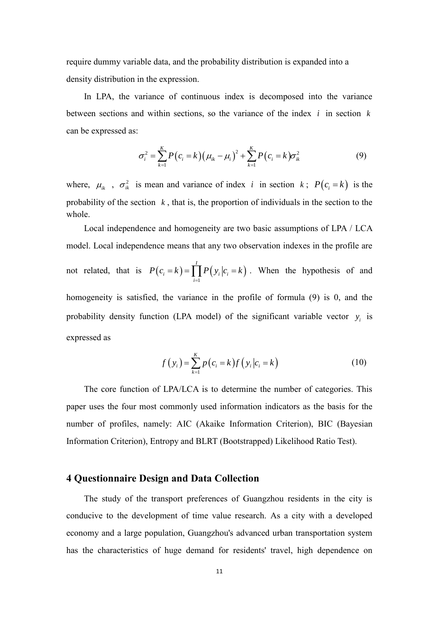require dummy variable data, and the probability distribution is expanded into a density distribution in the expression.

In LPA, the variance of continuous index is decomposed into the variance between sections and within sections, so the variance of the index *i* in section *k* can be expressed as:

$$
\sigma_i^2 = \sum_{k=1}^K P(c_i = k) (\mu_{ik} - \mu_i)^2 + \sum_{k=1}^K P(c_i = k) \sigma_{ik}^2
$$
 (9)

where,  $\mu_{ik}$ ,  $\sigma_{ik}^2$  is mean and variance of index *i* in section *k*;  $P(c_i = k)$  is the probability of the section  $k$ , that is, the proportion of individuals in the section to the whole.

Local independence and homogeneity are two basic assumptions of LPA / LCA model. Local independence means that any two observation indexes in the profile are not related, that is  $P(c_i = k) = \prod_{i=1}^{k} P(y_i | c_i = k)$ *I i i i i*  $P(c_i = k) = \prod P(y_i | c_i = k)$  $= k$ ) =  $\prod P(y_i|c_i = k)$ . When the hypothesis of and homogeneity is satisfied, the variance in the profile of formula (9) is 0, and the probability density function (LPA model) of the significant variable vector  $y_i$  is expressed as

$$
f(y_i) = \sum_{k=1}^{K} p(c_i = k) f(y_i | c_i = k)
$$
 (10)

The core function of LPA/LCA is to determine the number of categories. This paper uses the four most commonly used information indicators as the basis for the number of profiles, namely: AIC (Akaike Information Criterion), BIC (Bayesian Information Criterion), Entropy and BLRT (Bootstrapped) Likelihood Ratio Test).

# **4 Questionnaire Design and Data Collection**

The study of the transport preferences of Guangzhou residents in the city is conducive to the development of time value research. As a city with a developed economy and a large population, Guangzhou's advanced urban transportation system has the characteristics of huge demand for residents' travel, high dependence on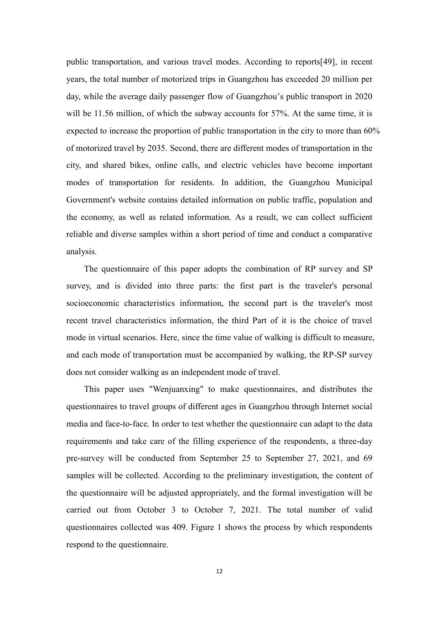public transportation, and various travel modes. According to reports[49], in recent years, the total number of motorized trips in Guangzhou has exceeded 20 million per day, while the average daily passenger flow of Guangzhou's public transport in 2020 will be 11.56 million, of which the subway accounts for 57%. At the same time, it is expected to increase the proportion of public transportation in the city to more than 60% of motorized travel by 2035. Second, there are different modes of transportation in the city, and shared bikes, online calls, and electric vehicles have become important modes of transportation for residents. In addition, the Guangzhou Municipal Government's website contains detailed information on public traffic, population and the economy, as well as related information. As a result, we can collect sufficient reliable and diverse samples within a short period of time and conduct a comparative analysis.

The questionnaire of this paper adopts the combination of RP survey and SP survey, and is divided into three parts: the first part is the traveler's personal socioeconomic characteristics information, the second part is the traveler's most recent travel characteristics information, the third Part of it is the choice of travel mode in virtual scenarios. Here, since the time value of walking is difficult to measure, and each mode of transportation must be accompanied by walking, the RP-SP survey does not consider walking as an independent mode of travel.

This paper uses "Wenjuanxing" to make questionnaires, and distributes the questionnaires to travel groups of different ages in Guangzhou through Internet social media and face-to-face. In order to test whether the questionnaire can adapt to the data requirements and take care of the filling experience of the respondents, a three-day pre-survey will be conducted from September 25 to September 27, 2021, and 69 samples will be collected. According to the preliminary investigation, the content of the questionnaire will be adjusted appropriately, and the formal investigation will be carried out from October 3 to October 7, 2021. The total number of valid questionnaires collected was 409. Figure 1 shows the process by which respondents respond to the questionnaire.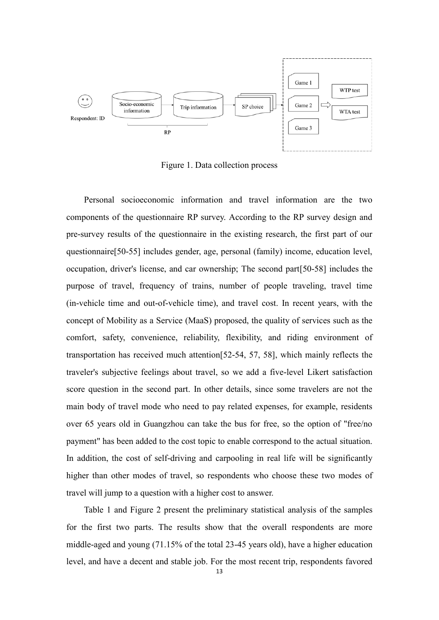

Figure 1. Data collection process

Personal socioeconomic information and travel information are the two components of the questionnaire RP survey. According to the RP survey design and pre-survey results of the questionnaire in the existing research, the first part of our questionnaire[50-55] includes gender, age, personal (family) income, education level, occupation, driver's license, and car ownership; The second part[50-58] includes the purpose of travel, frequency of trains, number of people traveling, travel time (in-vehicle time and out-of-vehicle time), and travel cost. In recent years, with the concept of Mobility as a Service (MaaS) proposed, the quality of services such as the comfort, safety, convenience, reliability, flexibility, and riding environment of transportation has received much attention[52-54, 57, 58], which mainly reflects the traveler's subjective feelings about travel, so we add a five-level Likert satisfaction score question in the second part. In other details, since some travelers are not the main body of travel mode who need to pay related expenses, for example, residents over 65 years old in Guangzhou can take the bus for free, so the option of "free/no payment" has been added to the cost topic to enable correspond to the actual situation. In addition, the cost of self-driving and carpooling in real life will be significantly higher than other modes of travel, so respondents who choose these two modes of travel will jump to a question with a higher cost to answer.

Table 1 and Figure 2 present the preliminary statistical analysis of the samples for the first two parts. The results show that the overall respondents are more middle-aged and young (71.15% of the total 23-45 years old), have a higher education level, and have a decent and stable job. For the most recent trip, respondents favored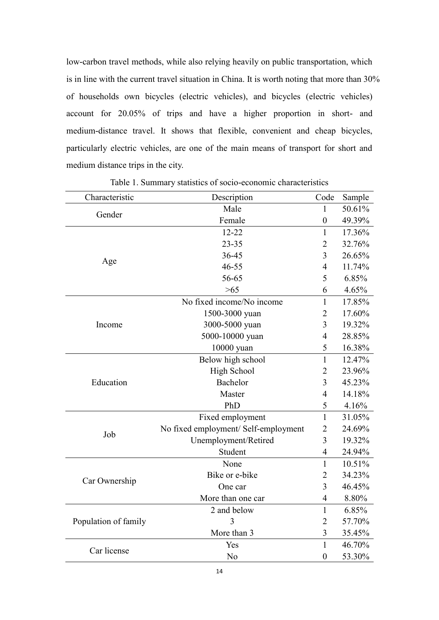low-carbon travel methods, while also relying heavily on public transportation, which is in line with the current travel situation in China. It is worth noting that more than 30% of households own bicycles (electric vehicles), and bicycles (electric vehicles) account for 20.05% of trips and have a higher proportion in short- and medium-distance travel. It shows that flexible, convenient and cheap bicycles, particularly electric vehicles, are one of the main means of transport for short and medium distance trips in the city.

| Characteristic       | Description                          | Code             | Sample |
|----------------------|--------------------------------------|------------------|--------|
|                      | Male                                 | 1                | 50.61% |
| Gender               | Female                               | $\boldsymbol{0}$ | 49.39% |
|                      | $12 - 22$                            | $\mathbf{1}$     | 17.36% |
|                      | $23 - 35$                            | $\overline{2}$   | 32.76% |
|                      | 36-45                                | 3                | 26.65% |
| Age                  | $46 - 55$                            | $\overline{4}$   | 11.74% |
|                      | 56-65                                | 5                | 6.85%  |
|                      | $>65$                                | 6                | 4.65%  |
|                      | No fixed income/No income            | $\mathbf{1}$     | 17.85% |
| Income               | 1500-3000 yuan                       | $\overline{2}$   | 17.60% |
|                      | 3000-5000 yuan                       | 3                | 19.32% |
|                      | 5000-10000 yuan                      | $\overline{4}$   | 28.85% |
|                      | 10000 yuan                           | 5                | 16.38% |
|                      | Below high school                    | $\mathbf{1}$     | 12.47% |
|                      | <b>High School</b>                   | $\overline{2}$   | 23.96% |
| Education            | Bachelor                             | $\overline{3}$   | 45.23% |
|                      | Master                               | $\overline{4}$   | 14.18% |
|                      | PhD                                  | 5                | 4.16%  |
|                      | Fixed employment                     | $\mathbf{1}$     | 31.05% |
| Job                  | No fixed employment/ Self-employment | $\overline{2}$   | 24.69% |
|                      | Unemployment/Retired                 | 3                | 19.32% |
|                      | Student                              | $\overline{4}$   | 24.94% |
|                      | None                                 | $\mathbf{1}$     | 10.51% |
|                      | Bike or e-bike                       | $\overline{2}$   | 34.23% |
| Car Ownership        | One car                              | 3                | 46.45% |
|                      | More than one car                    | $\overline{4}$   | 8.80%  |
|                      | 2 and below                          | $\mathbf{1}$     | 6.85%  |
| Population of family | 3                                    | $\overline{2}$   | 57.70% |
|                      | More than 3                          | $\overline{3}$   | 35.45% |
| Car license          | Yes                                  | $\mathbf{1}$     | 46.70% |
|                      | No                                   | $\boldsymbol{0}$ | 53.30% |

Table 1. Summary statistics of socio-economic characteristics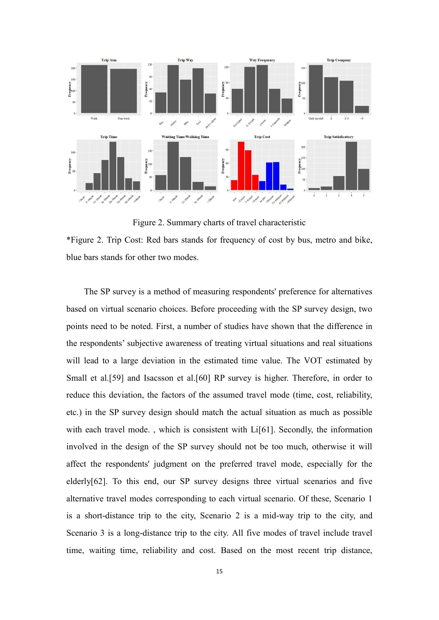

Figure 2. Summary charts of travel characteristic

\*Figure 2. Trip Cost: Red bars stands for frequency of cost by bus, metro and bike, blue bars stands for other two modes.

The SP survey is a method of measuring respondents' preference for alternatives based on virtual scenario choices. Before proceeding with the SP survey design, two points need to be noted. First, a number of studies have shown that the difference in the respondents' subjective awareness of treating virtual situations and real situations will lead to a large deviation in the estimated time value. The VOT estimated by Small et al.[59] and Isacsson et al.[60] RP survey is higher. Therefore, in order to reduce this deviation, the factors of the assumed travel mode (time, cost, reliability, etc.) in the SP survey design should match the actual situation as much as possible with each travel mode., which is consistent with Li[61]. Secondly, the information involved in the design of the SP survey should not be too much, otherwise it will affect the respondents' judgment on the preferred travel mode, especially for the elderly[62]. To this end, our SP survey designs three virtual scenarios and five alternative travel modes corresponding to each virtual scenario. Of these, Scenario 1 is a short-distance trip to the city, Scenario 2 is a mid-way trip to the city, and Scenario 3 is a long-distance trip to the city. All five modes of travel include travel time, waiting time, reliability and cost. Based on the most recent trip distance,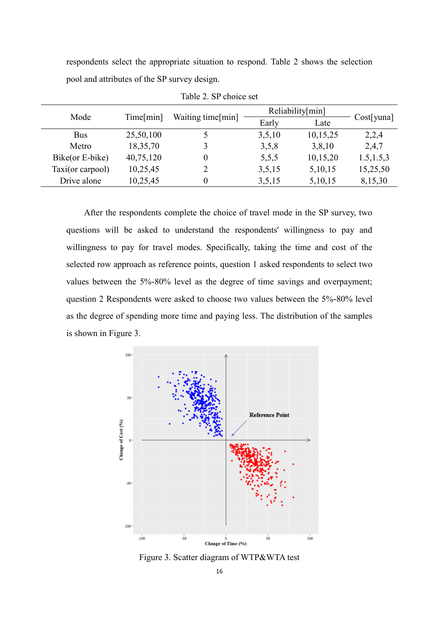respondents select the appropriate situation to respond. Table 2 shows the selection pool and attributes of the SP survey design.

| Mode             |           |                   |        | Reliability[min] |               |
|------------------|-----------|-------------------|--------|------------------|---------------|
|                  | Time[min] | Waiting time[min] | Early  | Late             | $Cost[$ yuna] |
| <b>Bus</b>       | 25,50,100 |                   | 3,5,10 | 10,15,25         | 2,2,4         |
| Metro            | 18,35,70  |                   | 3,5,8  | 3,8,10           | 2,4,7         |
| Bike(or E-bike)  | 40,75,120 | $\theta$          | 5,5,5  | 10,15,20         | 1.5, 1.5, 3   |
| Taxi(or carpool) | 10,25,45  |                   | 3,5,15 | 5,10,15          | 15,25,50      |
| Drive alone      | 10,25,45  | $\theta$          | 3,5,15 | 5,10,15          | 8,15,30       |

Table 2. SP choice set

After the respondents complete the choice of travel mode in the SP survey, two questions will be asked to understand the respondents' willingness to pay and willingness to pay for travel modes. Specifically, taking the time and cost of the selected row approach as reference points, question 1 asked respondents to select two values between the 5%-80% level as the degree of time savings and overpayment; question 2 Respondents were asked to choose two values between the 5%-80% level as the degree of spending more time and paying less. The distribution of the samples is shown in Figure 3.



Figure 3. Scatter diagram of WTP&WTA test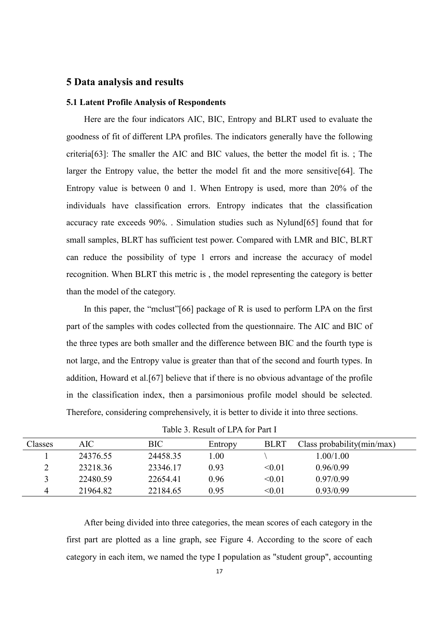### **5 Data analysis and results**

#### **5.1 Latent Profile Analysis of Respondents**

Here are the four indicators AIC, BIC, Entropy and BLRT used to evaluate the goodness of fit of different LPA profiles. The indicators generally have the following criteria[63]: The smaller the AIC and BIC values, the better the model fit is. ; The larger the Entropy value, the better the model fit and the more sensitive[64]. The Entropy value is between 0 and 1. When Entropy is used, more than 20% of the individuals have classification errors. Entropy indicates that the classification accuracy rate exceeds 90%. . Simulation studies such as Nylund[65] found that for small samples, BLRT has sufficient test power. Compared with LMR and BIC, BLRT can reduce the possibility of type 1 errors and increase the accuracy of model recognition. When BLRT this metric is , the model representing the category is better than the model of the category.

In this paper, the "mclust"[66] package of R is used to perform LPA on the first part of the samples with codes collected from the questionnaire. The AIC and BIC of the three types are both smaller and the difference between BIC and the fourth type is not large, and the Entropy value is greater than that of the second and fourth types. In addition, Howard et al.[67] believe that if there is no obvious advantage of the profile in the classification index, then a parsimonious profile model should be selected. Therefore, considering comprehensively, it is better to divide it into three sections.

| Classes | AIC      | <b>BIC</b> | Entropy | <b>BLRT</b> | Class probability $(\text{min/max})$ |
|---------|----------|------------|---------|-------------|--------------------------------------|
|         | 24376.55 | 24458.35   | 0.00    |             | 1.00/1.00                            |
| ∠       | 23218.36 | 23346.17   | 0.93    | < 0.01      | 0.96/0.99                            |
|         | 22480.59 | 22654.41   | 0.96    | < 0.01      | 0.97/0.99                            |
| 4       | 21964.82 | 22184.65   | 0.95    | < 0.01      | 0.93/0.99                            |

Table 3. Result of LPA for Part I

After being divided into three categories, the mean scores of each category in the first part are plotted as a line graph, see Figure 4. According to the score of each category in each item, we named the type I population as "student group", accounting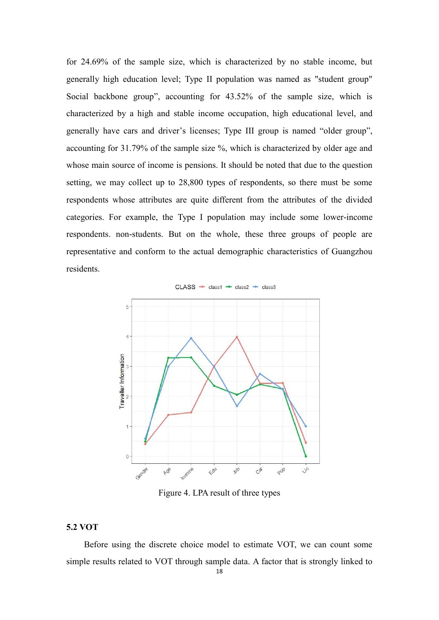for 24.69% of the sample size, which is characterized by no stable income, but generally high education level; Type II population was named as "student group" Social backbone group", accounting for 43.52% of the sample size, which is characterized by a high and stable income occupation, high educational level, and generally have cars and driver's licenses; Type III group is named "older group", accounting for 31.79% of the sample size %, which is characterized by older age and whose main source of income is pensions. It should be noted that due to the question setting, we may collect up to 28,800 types of respondents, so there must be some respondents whose attributes are quite different from the attributes of the divided categories. For example, the Type I population may include some lower-income respondents. non-students. But on the whole, these three groups of people are representative and conform to the actual demographic characteristics of Guangzhou residents.



Figure 4. LPA result of three types

#### **5.2 VOT**

Before using the discrete choice model to estimate VOT, we can count some simple results related to VOT through sample data. A factor that is strongly linked to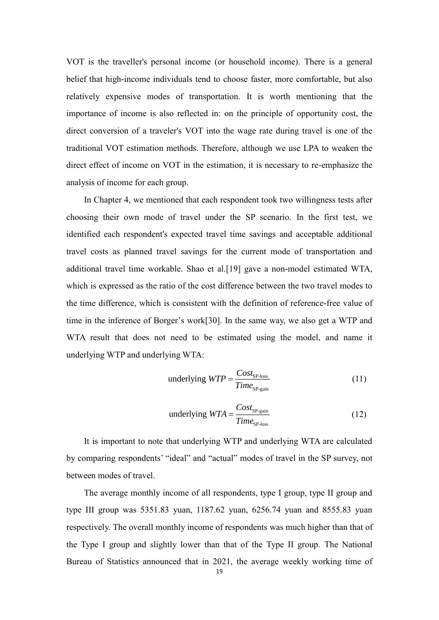VOT is the traveller's personal income (or household income). There is a general belief that high-income individuals tend to choose faster, more comfortable, but also relatively expensive modes of transportation. It is worth mentioning that the importance of income is also reflected in: on the principle of opportunity cost, the direct conversion of a traveler's VOT into the wage rate during travel is one of the traditional VOT estimation methods. Therefore, although we use LPA to weaken the direct effect of income on VOT in the estimation, it is necessary to re-emphasize the analysis of income for each group.

In Chapter 4, we mentioned that each respondent took two willingness tests after choosing their own mode of travel under the SP scenario. In the first test, we identified each respondent's expected travel time savings and acceptable additional travel costs as planned travel savings for the current mode of transportation and additional travel time workable. Shao et al.[19] gave a non-model estimated WTA, which is expressed as the ratio of the cost difference between the two travel modes to the time difference, which is consistent with the definition of reference-free value of time in the inference of Borger's work[30]. In the same way, we also get a WTP and WTA result that does not need to be estimated using the model, and name it underlying WTP and underlying WTA:

underlying 
$$
WTP = \frac{Cost_{\text{SP-loss}}}{Time_{\text{SP-gain}}}
$$
 (11)

underlying 
$$
WTA = \frac{Cost_{\text{SP-gain}}}{Time_{\text{SP-loss}}}
$$
 (12)

It is important to note that underlying WTP and underlying WTA are calculated by comparing respondents' "ideal" and "actual" modes of travel in the SP survey, not between modes of travel.

The average monthly income of all respondents, type I group, type II group and type III group was 5351.83 yuan, 1187.62 yuan, 6256.74 yuan and 8555.83 yuan respectively. The overall monthly income of respondents was much higher than that of the Type I group and slightly lower than that of the Type II group. The National Bureau of Statistics announced that in 2021, the average weekly working time of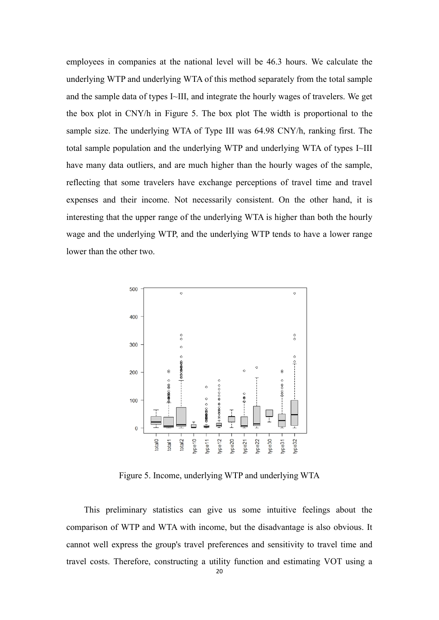employees in companies at the national level will be 46.3 hours. We calculate the underlying WTP and underlying WTA of this method separately from the total sample and the sample data of types I~III, and integrate the hourly wages of travelers. We get the box plot in CNY/h in Figure 5. The box plot The width is proportional to the sample size. The underlying WTA of Type III was 64.98 CNY/h, ranking first. The total sample population and the underlying WTP and underlying WTA of types I~III have many data outliers, and are much higher than the hourly wages of the sample, reflecting that some travelers have exchange perceptions of travel time and travel expenses and their income. Not necessarily consistent. On the other hand, it is interesting that the upper range of the underlying WTA is higher than both the hourly wage and the underlying WTP, and the underlying WTP tends to have a lower range lower than the other two.



Figure 5. Income, underlying WTP and underlying WTA

This preliminary statistics can give us some intuitive feelings about the comparison of WTP and WTA with income, but the disadvantage is also obvious. It cannot well express the group's travel preferences and sensitivity to travel time and travel costs. Therefore, constructing a utility function and estimating VOT using a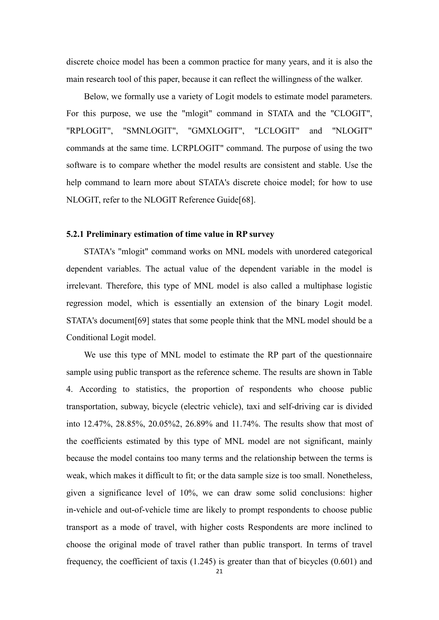discrete choice model has been a common practice for many years, and it is also the main research tool of this paper, because it can reflect the willingness of the walker.

Below, we formally use a variety of Logit models to estimate model parameters. For this purpose, we use the "mlogit" command in STATA and the "CLOGIT", "RPLOGIT", "SMNLOGIT", "GMXLOGIT", "LCLOGIT" and "NLOGIT" commands at the same time. LCRPLOGIT" command. The purpose of using the two software is to compare whether the model results are consistent and stable. Use the help command to learn more about STATA's discrete choice model; for how to use NLOGIT, refer to the NLOGIT Reference Guide[68].

#### **5.2.1 Preliminary estimation of time value in RP survey**

STATA's "mlogit" command works on MNL models with unordered categorical dependent variables. The actual value of the dependent variable in the model is irrelevant. Therefore, this type of MNL model is also called a multiphase logistic regression model, which is essentially an extension of the binary Logit model. STATA's document[69] states that some people think that the MNL model should be a Conditional Logit model.

We use this type of MNL model to estimate the RP part of the questionnaire sample using public transport as the reference scheme. The results are shown in Table 4. According to statistics, the proportion of respondents who choose public transportation, subway, bicycle (electric vehicle), taxi and self-driving car is divided into 12.47%, 28.85%, 20.05%2, 26.89% and 11.74%. The results show that most of the coefficients estimated by this type of MNL model are not significant, mainly because the model contains too many terms and the relationship between the terms is weak, which makes it difficult to fit; or the data sample size is too small. Nonetheless, given a significance level of 10%, we can draw some solid conclusions: higher in-vehicle and out-of-vehicle time are likely to prompt respondents to choose public transport as a mode of travel, with higher costs Respondents are more inclined to choose the original mode of travel rather than public transport. In terms of travel frequency, the coefficient of taxis (1.245) is greater than that of bicycles (0.601) and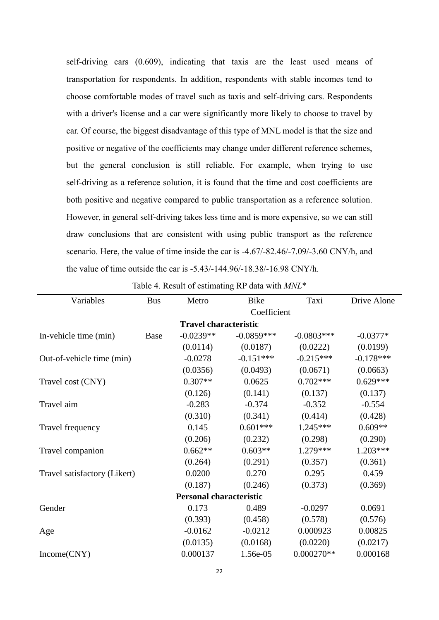self-driving cars (0.609), indicating that taxis are the least used means of transportation for respondents. In addition, respondents with stable incomes tend to choose comfortable modes of travel such as taxis and self-driving cars. Respondents with a driver's license and a car were significantly more likely to choose to travel by car. Of course, the biggest disadvantage of this type of MNL model is that the size and positive or negative of the coefficients may change under different reference schemes, but the general conclusion is still reliable. For example, when trying to use self-driving as a reference solution, it is found that the time and cost coefficients are both positive and negative compared to public transportation as a reference solution. However, in general self-driving takes less time and is more expensive, so we can still draw conclusions that are consistent with using public transport as the reference scenario. Here, the value of time inside the car is -4.67/-82.46/-7.09/-3.60 CNY/h, and the value of time outside the car is -5.43/-144.96/-18.38/-16.98 CNY/h.

| Variables                    | <b>Bus</b>  | Metro                          | <b>Bike</b>  | Taxi         | Drive Alone |
|------------------------------|-------------|--------------------------------|--------------|--------------|-------------|
|                              |             |                                | Coefficient  |              |             |
|                              |             | <b>Travel characteristic</b>   |              |              |             |
| In-vehicle time (min)        | <b>Base</b> | $-0.0239**$                    | $-0.0859***$ | $-0.0803***$ | $-0.0377*$  |
|                              |             | (0.0114)                       | (0.0187)     | (0.0222)     | (0.0199)    |
| Out-of-vehicle time (min)    |             | $-0.0278$                      | $-0.151***$  | $-0.215***$  | $-0.178***$ |
|                              |             | (0.0356)                       | (0.0493)     | (0.0671)     | (0.0663)    |
| Travel cost (CNY)            |             | $0.307**$                      | 0.0625       | $0.702***$   | $0.629***$  |
|                              |             | (0.126)                        | (0.141)      | (0.137)      | (0.137)     |
| Travel aim                   |             | $-0.283$                       | $-0.374$     | $-0.352$     | $-0.554$    |
|                              |             | (0.310)                        | (0.341)      | (0.414)      | (0.428)     |
| Travel frequency             |             | 0.145                          | $0.601***$   | $1.245***$   | $0.609**$   |
|                              |             | (0.206)                        | (0.232)      | (0.298)      | (0.290)     |
| Travel companion             |             | $0.662**$                      | $0.603**$    | 1.279***     | 1.203***    |
|                              |             | (0.264)                        | (0.291)      | (0.357)      | (0.361)     |
| Travel satisfactory (Likert) |             | 0.0200                         | 0.270        | 0.295        | 0.459       |
|                              |             | (0.187)                        | (0.246)      | (0.373)      | (0.369)     |
|                              |             | <b>Personal characteristic</b> |              |              |             |
| Gender                       |             | 0.173                          | 0.489        | $-0.0297$    | 0.0691      |
|                              |             | (0.393)                        | (0.458)      | (0.578)      | (0.576)     |
| Age                          |             | $-0.0162$                      | $-0.0212$    | 0.000923     | 0.00825     |
|                              |             | (0.0135)                       | (0.0168)     | (0.0220)     | (0.0217)    |
| Income(CNY)                  |             | 0.000137                       | 1.56e-05     | $0.000270**$ | 0.000168    |

Table 4. Result of estimating RP data with *MNL*\*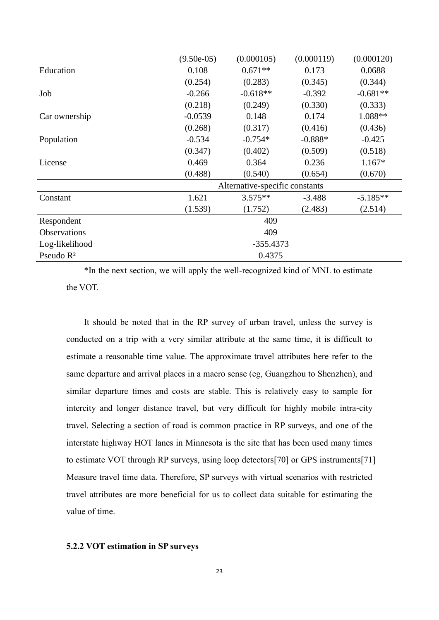|                       | $(9.50e-05)$ | (0.000105)                     | (0.000119) | (0.000120) |
|-----------------------|--------------|--------------------------------|------------|------------|
| Education             | 0.108        | $0.671**$                      | 0.173      | 0.0688     |
|                       | (0.254)      | (0.283)                        | (0.345)    | (0.344)    |
| Job                   | $-0.266$     | $-0.618**$                     | $-0.392$   | $-0.681**$ |
|                       | (0.218)      | (0.249)                        | (0.330)    | (0.333)    |
| Car ownership         | $-0.0539$    | 0.148                          | 0.174      | 1.088**    |
|                       | (0.268)      | (0.317)                        | (0.416)    | (0.436)    |
| Population            | $-0.534$     | $-0.754*$                      | $-0.888*$  | $-0.425$   |
|                       | (0.347)      | (0.402)                        | (0.509)    | (0.518)    |
| License               | 0.469        | 0.364                          | 0.236      | $1.167*$   |
|                       | (0.488)      | (0.540)                        | (0.654)    | (0.670)    |
|                       |              | Alternative-specific constants |            |            |
| Constant              | 1.621        | $3.575**$                      | $-3.488$   | $-5.185**$ |
|                       | (1.539)      | (1.752)                        | (2.483)    | (2.514)    |
| Respondent            |              | 409                            |            |            |
| Observations          |              | 409                            |            |            |
| Log-likelihood        |              | $-355.4373$                    |            |            |
| Pseudo R <sup>2</sup> |              | 0.4375                         |            |            |

\*In the next section, we will apply the well-recognized kind of MNL to estimate the VOT.

It should be noted that in the RP survey of urban travel, unless the survey is conducted on a trip with a very similar attribute at the same time, it is difficult to estimate a reasonable time value. The approximate travel attributes here refer to the same departure and arrival places in a macro sense (eg, Guangzhou to Shenzhen), and similar departure times and costs are stable. This is relatively easy to sample for intercity and longer distance travel, but very difficult for highly mobile intra-city travel. Selecting a section of road is common practice in RP surveys, and one of the interstate highway HOT lanes in Minnesota is the site that has been used many times to estimate VOT through RP surveys, using loop detectors[70] or GPS instruments[71] Measure travel time data. Therefore, SP surveys with virtual scenarios with restricted travel attributes are more beneficial for us to collect data suitable for estimating the value of time.

#### **5.2.2 VOT estimation in SP surveys**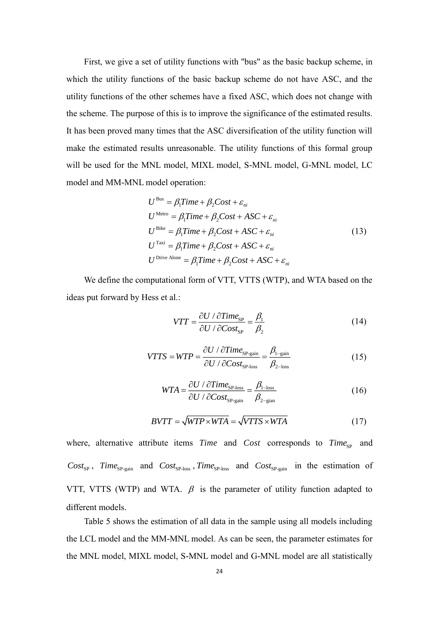First, we give a set of utility functions with "bus" as the basic backup scheme, in which the utility functions of the basic backup scheme do not have ASC, and the utility functions of the other schemes have a fixed ASC, which does not change with the scheme. The purpose of this is to improve the significance of the estimated results. It has been proved many times that the ASC diversification of the utility function will make the estimated results unreasonable. The utility functions of this formal group will be used for the MNL model, MIXL model, S-MNL model, G-MNL model, LC model and MM-MNL model operation:

$$
U^{\text{Bus}} = \beta_1 Time + \beta_2 Cost + \varepsilon_{ni}
$$
  
\n
$$
U^{\text{Metro}} = \beta_1 Time + \beta_2 Cost + ASC + \varepsilon_{ni}
$$
  
\n
$$
U^{\text{Bike}} = \beta_1 Time + \beta_2 Cost + ASC + \varepsilon_{ni}
$$
  
\n
$$
U^{\text{Taxi}} = \beta_1 Time + \beta_2 Cost + ASC + \varepsilon_{ni}
$$
  
\n
$$
U^{\text{Dirve Alone}} = \beta_1 Time + \beta_2 Cost + ASC + \varepsilon_{ni}
$$
\n(13)

We define the computational form of VTT, VTTS (WTP), and WTA based on the ideas put forward by Hess et al.:

$$
VTT = \frac{\partial U / \partial Time_{\rm SP}}{\partial U / \partial Cost_{\rm SP}} = \frac{\beta_1}{\beta_2}
$$
 (14)

$$
VTTS = WTP = \frac{\partial U / \partial Time_{SP-gain}}{\partial U / \partial Cost_{SP-loss}} = \frac{\beta_{1-gain}}{\beta_{2-\text{loss}}}
$$
(15)

$$
WTA = \frac{\partial U / \partial Time_{\rm SP-loss}}{\partial U / \partial Cost_{\rm SP-gain}} = \frac{\beta_{\rm l-loss}}{\beta_{\rm 2-gian}} \tag{16}
$$

$$
BVTT = \sqrt{WTP \times WTA} = \sqrt{VTTS \times WTA} \tag{17}
$$

where, alternative attribute items *Time* and *Cost* corresponds to *Time*<sub>SP</sub> and  $Cost_{SP}$ ,  $Time_{SP-gain}$  and  $Cost_{SP-loss}$ ,  $Time_{SP-loss}$  and  $Cost_{SP-gain}$  in the estimation of VTT, VTTS (WTP) and WTA.  $\beta$  is the parameter of utility function adapted to different models.

Table 5 shows the estimation of all data in the sample using all models including the LCL model and the MM-MNL model. As can be seen, the parameter estimates for the MNL model, MIXL model, S-MNL model and G-MNL model are all statistically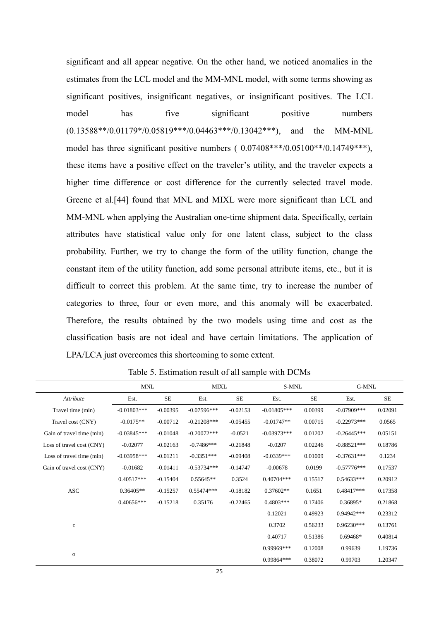significant and all appear negative. On the other hand, we noticed anomalies in the estimates from the LCL model and the MM-MNL model, with some terms showing as significant positives, insignificant negatives, or insignificant positives. The LCL model has five significant positive numbers  $(0.13588**/0.01179*/0.05819***/0.04463***/0.13042***),$  and the MM-MNL model has three significant positive numbers ( 0.07408\*\*\*/0.05100\*\*/0.14749\*\*\*), these items have a positive effect on the traveler's utility, and the traveler expects a higher time difference or cost difference for the currently selected travel mode. Greene et al.[44] found that MNL and MIXL were more significant than LCL and MM-MNL when applying the Australian one-time shipment data. Specifically, certain attributes have statistical value only for one latent class, subject to the class probability. Further, we try to change the form of the utility function, change the constant item of the utility function, add some personal attribute items, etc., but it is difficult to correct this problem. At the same time, try to increase the number of categories to three, four or even more, and this anomaly will be exacerbated. Therefore, the results obtained by the two models using time and cost as the classification basis are not ideal and have certain limitations. The application of LPA/LCA just overcomes this shortcoming to some extent.

|                           | <b>MNL</b>    |            | <b>MIXL</b>   |            | S-MNL         |          | G-MNL          |          |
|---------------------------|---------------|------------|---------------|------------|---------------|----------|----------------|----------|
| Attribute                 | Est.          | SE         | Est.          | $\rm SE$   | Est.          | $\rm SE$ | Est.           | $\rm SE$ |
| Travel time (min)         | $-0.01803***$ | $-0.00395$ | $-0.07596***$ | $-0.02153$ | $-0.01805***$ | 0.00399  | $-0.07909$ *** | 0.02091  |
| Travel cost (CNY)         | $-0.0175**$   | $-0.00712$ | $-0.21208***$ | $-0.05455$ | $-0.01747**$  | 0.00715  | $-0.22973***$  | 0.0565   |
| Gain of travel time (min) | $-0.03845***$ | $-0.01048$ | $-0.20072***$ | $-0.0521$  | $-0.03973***$ | 0.01202  | $-0.26445***$  | 0.05151  |
| Loss of travel cost (CNY) | $-0.02077$    | $-0.02163$ | $-0.7486***$  | $-0.21848$ | $-0.0207$     | 0.02246  | $-0.88521***$  | 0.18786  |
| Loss of travel time (min) | $-0.03958***$ | $-0.01211$ | $-0.3351***$  | $-0.09408$ | $-0.0339***$  | 0.01009  | $-0.37631***$  | 0.1234   |
| Gain of travel cost (CNY) | $-0.01682$    | $-0.01411$ | $-0.53734***$ | $-0.14747$ | $-0.00678$    | 0.0199   | $-0.57776***$  | 0.17537  |
|                           | $0.40517***$  | $-0.15404$ | $0.55645**$   | 0.3524     | $0.40704***$  | 0.15517  | $0.54633***$   | 0.20912  |
| <b>ASC</b>                | $0.36405**$   | $-0.15257$ | $0.55474***$  | $-0.18182$ | $0.37602**$   | 0.1651   | $0.48417***$   | 0.17358  |
|                           | $0.40656***$  | $-0.15218$ | 0.35176       | $-0.22465$ | $0.4803***$   | 0.17406  | 0.36895*       | 0.21868  |
|                           |               |            |               |            | 0.12021       | 0.49923  | 0.94942***     | 0.23312  |
| τ                         |               |            |               |            | 0.3702        | 0.56233  | $0.96230***$   | 0.13761  |
|                           |               |            |               |            | 0.40717       | 0.51386  | $0.69468*$     | 0.40814  |
|                           |               |            |               |            | $0.99969***$  | 0.12008  | 0.99639        | 1.19736  |
| $\sigma$                  |               |            |               |            | 0.99864***    | 0.38072  | 0.99703        | 1.20347  |

Table 5. Estimation result of all sample with DCMs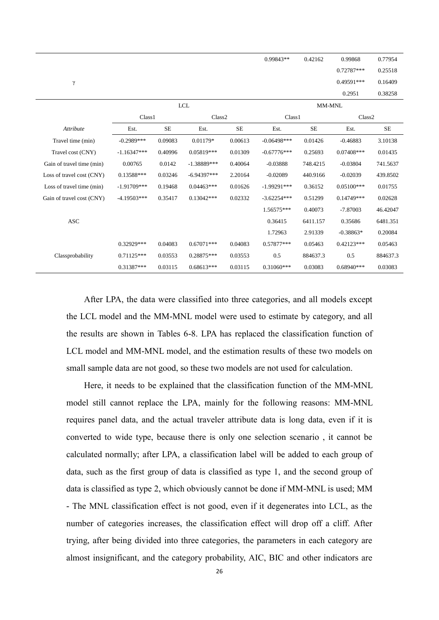|                           |                    |           |                    |           | $0.99843**$        | 0.42162   | 0.99868            | 0.77954   |
|---------------------------|--------------------|-----------|--------------------|-----------|--------------------|-----------|--------------------|-----------|
|                           |                    |           |                    |           |                    |           | 0.72787***         | 0.25518   |
| $\gamma$                  |                    |           |                    |           |                    |           | 0.49591***         | 0.16409   |
|                           |                    |           |                    |           |                    |           | 0.2951             | 0.38258   |
|                           |                    |           | <b>LCL</b>         |           |                    | MM-MNL    |                    |           |
|                           | Class <sub>1</sub> |           | Class <sub>2</sub> |           | Class <sub>1</sub> |           | Class <sub>2</sub> |           |
| <b>Attribute</b>          | Est.               | <b>SE</b> | Est.               | <b>SE</b> | Est.               | <b>SE</b> | Est.               | <b>SE</b> |
| Travel time (min)         | $-0.2989***$       | 0.09083   | $0.01179*$         | 0.00613   | $-0.06498***$      | 0.01426   | $-0.46883$         | 3.10138   |
| Travel cost (CNY)         | $-1.16347***$      | 0.40996   | $0.05819***$       | 0.01309   | $-0.67776***$      | 0.25693   | $0.07408***$       | 0.01435   |
| Gain of travel time (min) | 0.00765            | 0.0142    | $-1.38889***$      | 0.40064   | $-0.03888$         | 748.4215  | $-0.03804$         | 741.5637  |
| Loss of travel cost (CNY) | 0.13588***         | 0.03246   | $-6.94397***$      | 2.20164   | $-0.02089$         | 440.9166  | $-0.02039$         | 439.8502  |
| Loss of travel time (min) | $-1.91709***$      | 0.19468   | $0.04463***$       | 0.01626   | $-1.99291***$      | 0.36152   | $0.05100***$       | 0.01755   |
| Gain of travel cost (CNY) | $-4.19503***$      | 0.35417   | $0.13042***$       | 0.02332   | $-3.62254***$      | 0.51299   | 0.14749***         | 0.02628   |
|                           |                    |           |                    |           | 1.56575***         | 0.40073   | $-7.87003$         | 46.42047  |
| <b>ASC</b>                |                    |           |                    |           | 0.36415            | 6411.157  | 0.35686            | 6481.351  |
|                           |                    |           |                    |           | 1.72963            | 2.91339   | $-0.38863*$        | 0.20084   |
|                           | $0.32929***$       | 0.04083   | $0.67071***$       | 0.04083   | $0.57877***$       | 0.05463   | $0.42123***$       | 0.05463   |
| Classprobability          | $0.71125***$       | 0.03553   | 0.28875***         | 0.03553   | 0.5                | 884637.3  | 0.5                | 884637.3  |
|                           | $0.31387***$       | 0.03115   | $0.68613***$       | 0.03115   | $0.31060***$       | 0.03083   | $0.68940***$       | 0.03083   |

After LPA, the data were classified into three categories, and all models except the LCL model and the MM-MNL model were used to estimate by category, and all the results are shown in Tables 6-8. LPA has replaced the classification function of LCL model and MM-MNL model, and the estimation results of these two models on small sample data are not good, so these two models are not used for calculation.

Here, it needs to be explained that the classification function of the MM-MNL model still cannot replace the LPA, mainly for the following reasons: MM-MNL requires panel data, and the actual traveler attribute data is long data, even if it is converted to wide type, because there is only one selection scenario , it cannot be calculated normally; after LPA, a classification label will be added to each group of data, such as the first group of data is classified as type 1, and the second group of data is classified as type 2, which obviously cannot be done if MM-MNL is used; MM - The MNL classification effect is not good, even if it degenerates into LCL, as the number of categories increases, the classification effect will drop off a cliff. After trying, after being divided into three categories, the parameters in each category are almost insignificant, and the category probability, AIC, BIC and other indicators are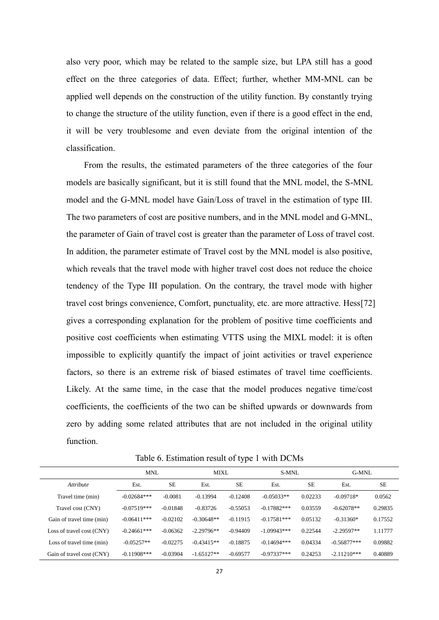also very poor, which may be related to the sample size, but LPA still has a good effect on the three categories of data. Effect; further, whether MM-MNL can be applied well depends on the construction of the utility function. By constantly trying to change the structure of the utility function, even if there is a good effect in the end, it will be very troublesome and even deviate from the original intention of the classification.

From the results, the estimated parameters of the three categories of the four models are basically significant, but it is still found that the MNL model, the S-MNL model and the G-MNL model have Gain/Loss of travel in the estimation of type III. The two parameters of cost are positive numbers, and in the MNL model and G-MNL, the parameter of Gain of travel cost is greater than the parameter of Loss of travel cost. In addition, the parameter estimate of Travel cost by the MNL model is also positive, which reveals that the travel mode with higher travel cost does not reduce the choice tendency of the Type III population. On the contrary, the travel mode with higher travel cost brings convenience, Comfort, punctuality, etc. are more attractive. Hess[72] gives a corresponding explanation for the problem of positive time coefficients and positive cost coefficients when estimating VTTS using the MIXL model: it is often impossible to explicitly quantify the impact of joint activities or travel experience factors, so there is an extreme risk of biased estimates of travel time coefficients. Likely. At the same time, in the case that the model produces negative time/cost coefficients, the coefficients of the two can be shifted upwards or downwards from zero by adding some related attributes that are not included in the original utility function.

|                           | <b>MNL</b>    |            | <b>MIXL</b>  |            | S-MNL         |           | G-MNL         |           |
|---------------------------|---------------|------------|--------------|------------|---------------|-----------|---------------|-----------|
| <i>Attribute</i>          | Est.          | <b>SE</b>  | Est.         | <b>SE</b>  | Est.          | <b>SE</b> | Est.          | <b>SE</b> |
| Travel time (min)         | $-0.02684***$ | $-0.0081$  | $-0.13994$   | $-0.12408$ | $-0.05033**$  | 0.02233   | $-0.09718*$   | 0.0562    |
| Travel cost (CNY)         | $-0.07519***$ | $-0.01848$ | $-0.83726$   | $-0.55053$ | $-0.17882***$ | 0.03559   | $-0.62078**$  | 0.29835   |
| Gain of travel time (min) | $-0.06411***$ | $-0.02102$ | $-0.30648**$ | $-0.11915$ | $-0.17581***$ | 0.05132   | $-0.31360*$   | 0.17552   |
| Loss of travel cost (CNY) | $-0.24661***$ | $-0.06362$ | $-2.29796**$ | $-0.94409$ | $-1.09943***$ | 0.22544   | $-2.29597**$  | 1.11777   |
| Loss of travel time (min) | $-0.05257**$  | $-0.02275$ | $-0.43415**$ | $-0.18875$ | $-0.14694***$ | 0.04334   | $-0.56877***$ | 0.09882   |
| Gain of travel cost (CNY) | $-0.11908***$ | $-0.03904$ | $-1.65127**$ | $-0.69577$ | $-0.97337***$ | 0.24253   | $-2.11210***$ | 0.40889   |

Table 6. Estimation result of type 1 with DCMs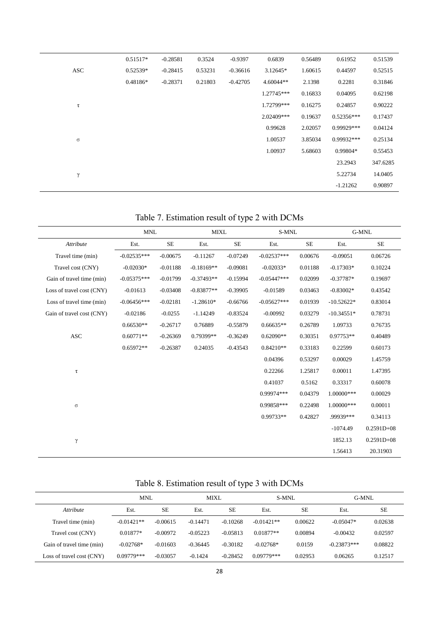|            | 0.51517*   | $-0.28581$ | 0.3524  | $-0.9397$  | 0.6839       | 0.56489 | 0.61952      | 0.51539  |
|------------|------------|------------|---------|------------|--------------|---------|--------------|----------|
| <b>ASC</b> | 0.52539*   | $-0.28415$ | 0.53231 | $-0.36616$ | 3.12645*     | 1.60615 | 0.44597      | 0.52515  |
|            | $0.48186*$ | $-0.28371$ | 0.21803 | $-0.42705$ | $4.60044**$  | 2.1398  | 0.2281       | 0.31846  |
|            |            |            |         |            | $1.27745***$ | 0.16833 | 0.04095      | 0.62198  |
| τ          |            |            |         |            | 1.72799***   | 0.16275 | 0.24857      | 0.90222  |
|            |            |            |         |            | 2.02409***   | 0.19637 | $0.52356***$ | 0.17437  |
|            |            |            |         |            | 0.99628      | 2.02057 | 0.99929***   | 0.04124  |
| $\sigma$   |            |            |         |            | 1.00537      | 3.85034 | 0.99932***   | 0.25134  |
|            |            |            |         |            | 1.00937      | 5.68603 | 0.99804*     | 0.55453  |
|            |            |            |         |            |              |         | 23.2943      | 347.6285 |
| γ          |            |            |         |            |              |         | 5.22734      | 14.0405  |
|            |            |            |         |            |              |         | $-1.21262$   | 0.90897  |

Table 7. Estimation result of type 2 with DCMs

|                           | <b>MNL</b>    |            | <b>MIXL</b>  |            | S-MNL         |           |              | G-MNL          |
|---------------------------|---------------|------------|--------------|------------|---------------|-----------|--------------|----------------|
| Attribute                 | Est.          | <b>SE</b>  | Est.         | <b>SE</b>  | Est.          | <b>SE</b> | Est.         | <b>SE</b>      |
| Travel time (min)         | $-0.02535***$ | $-0.00675$ | $-0.11267$   | $-0.07249$ | $-0.02537***$ | 0.00676   | $-0.09051$   | 0.06726        |
| Travel cost (CNY)         | $-0.02030*$   | $-0.01188$ | $-0.18169**$ | $-0.09081$ | $-0.02033*$   | 0.01188   | $-0.17303*$  | 0.10224        |
| Gain of travel time (min) | $-0.05375***$ | $-0.01799$ | $-0.37493**$ | $-0.15994$ | $-0.05447***$ | 0.02099   | $-0.37787*$  | 0.19697        |
| Loss of travel cost (CNY) | $-0.01613$    | $-0.03408$ | $-0.83877**$ | $-0.39905$ | $-0.01589$    | 0.03463   | $-0.83002*$  | 0.43542        |
| Loss of travel time (min) | $-0.06456***$ | $-0.02181$ | $-1.28610*$  | $-0.66766$ | $-0.05627***$ | 0.01939   | $-10.52622*$ | 0.83014        |
| Gain of travel cost (CNY) | $-0.02186$    | $-0.0255$  | $-1.14249$   | $-0.83524$ | $-0.00992$    | 0.03279   | $-10.34551*$ | 0.78731        |
|                           | $0.66530**$   | $-0.26717$ | 0.76889      | $-0.55879$ | $0.66635**$   | 0.26789   | 1.09733      | 0.76735        |
| <b>ASC</b>                | $0.60771**$   | $-0.26369$ | 0.79399**    | $-0.36249$ | $0.62090**$   | 0.30351   | $0.97753**$  | 0.40489        |
|                           | $0.65972**$   | $-0.26387$ | 0.24035      | $-0.43543$ | $0.84210**$   | 0.33183   | 0.22599      | 0.60173        |
|                           |               |            |              |            | 0.04396       | 0.53297   | 0.00029      | 1.45759        |
| $\tau$                    |               |            |              |            | 0.22266       | 1.25817   | 0.00011      | 1.47395        |
|                           |               |            |              |            | 0.41037       | 0.5162    | 0.33317      | 0.60078        |
|                           |               |            |              |            | $0.99974***$  | 0.04379   | 1.00000***   | 0.00029        |
| $\sigma$                  |               |            |              |            | 0.99858***    | 0.22498   | 1.00000***   | 0.00011        |
|                           |               |            |              |            | 0.99733**     | 0.42827   | .99939***    | 0.34113        |
|                           |               |            |              |            |               |           | $-1074.49$   | $0.2591D + 08$ |
| γ                         |               |            |              |            |               |           | 1852.13      | $0.2591D + 08$ |
|                           |               |            |              |            |               |           | 1.56413      | 20.31903       |

# Table 8. Estimation result of type 3 with DCMs

|                           | MNL          | <b>MIXL</b> |            | S-MNL      |              | G-MNL     |               |           |
|---------------------------|--------------|-------------|------------|------------|--------------|-----------|---------------|-----------|
| <i>Attribute</i>          | Est.         | <b>SE</b>   | Est.       | <b>SE</b>  | Est.         | <b>SE</b> | Est.          | <b>SE</b> |
| Travel time (min)         | $-0.01421**$ | $-0.00615$  | $-0.14471$ | $-0.10268$ | $-0.01421**$ | 0.00622   | $-0.05047*$   | 0.02638   |
| Travel cost (CNY)         | $0.01877*$   | $-0.00972$  | $-0.05223$ | $-0.05813$ | $0.01877**$  | 0.00894   | $-0.00432$    | 0.02597   |
| Gain of travel time (min) | $-0.02768*$  | $-0.01603$  | $-0.36445$ | $-0.30182$ | $-0.02768*$  | 0.0159    | $-0.23873***$ | 0.08822   |
| Loss of travel cost (CNY) | $0.09779***$ | $-0.03057$  | $-0.1424$  | $-0.28452$ | $0.09779***$ | 0.02953   | 0.06265       | 0.12517   |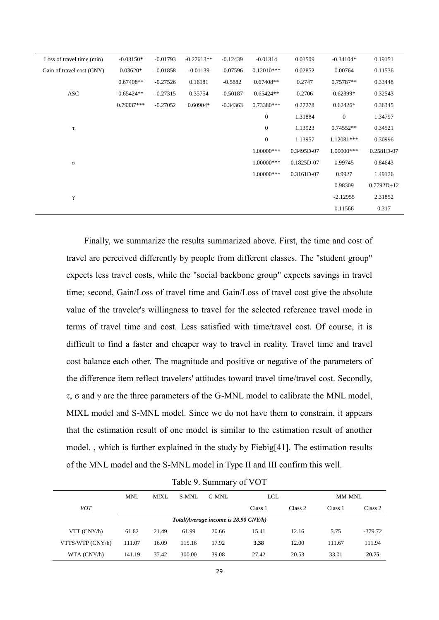| Loss of travel time (min) | $-0.03150*$  | $-0.01793$ | $-0.27613**$ | $-0.12439$ | $-0.01314$       | 0.01509    | $-0.34104*$  | 0.19151      |
|---------------------------|--------------|------------|--------------|------------|------------------|------------|--------------|--------------|
| Gain of travel cost (CNY) | $0.03620*$   | $-0.01858$ | $-0.01139$   | $-0.07596$ | $0.12010***$     | 0.02852    | 0.00764      | 0.11536      |
|                           | $0.67408**$  | $-0.27526$ | 0.16181      | $-0.5882$  | $0.67408**$      | 0.2747     | 0.75787**    | 0.33448      |
| <b>ASC</b>                | $0.65424**$  | $-0.27315$ | 0.35754      | $-0.50187$ | $0.65424**$      | 0.2706     | $0.62399*$   | 0.32543      |
|                           | $0.79337***$ | $-0.27052$ | $0.60904*$   | $-0.34363$ | 0.73380***       | 0.27278    | $0.62426*$   | 0.36345      |
|                           |              |            |              |            | $\boldsymbol{0}$ | 1.31884    | $\mathbf{0}$ | 1.34797      |
| $\tau$                    |              |            |              |            | $\mathbf{0}$     | 1.13923    | 0.74552**    | 0.34521      |
|                           |              |            |              |            | $\mathbf{0}$     | 1.13957    | 1.12081***   | 0.30996      |
|                           |              |            |              |            | 1.00000***       | 0.3495D-07 | 1.00000***   | 0.2581D-07   |
| $\sigma$                  |              |            |              |            | $1.00000$ ***    | 0.1825D-07 | 0.99745      | 0.84643      |
|                           |              |            |              |            | 1.00000***       | 0.3161D-07 | 0.9927       | 1.49126      |
|                           |              |            |              |            |                  |            | 0.98309      | $0.7792D+12$ |
| γ                         |              |            |              |            |                  |            | $-2.12955$   | 2.31852      |
|                           |              |            |              |            |                  |            | 0.11566      | 0.317        |

Finally, we summarize the results summarized above. First, the time and cost of travel are perceived differently by people from different classes. The "student group" expects less travel costs, while the "social backbone group" expects savings in travel time; second, Gain/Loss of travel time and Gain/Loss of travel cost give the absolute value of the traveler's willingness to travel for the selected reference travel mode in terms of travel time and cost. Less satisfied with time/travel cost. Of course, it is difficult to find a faster and cheaper way to travel in reality. Travel time and travel cost balance each other. The magnitude and positive or negative of the parameters of the difference item reflect travelers' attitudes toward travel time/travel cost. Secondly, τ, σ and γ are the three parameters of the G-MNL model to calibrate the MNL model, MIXL model and S-MNL model. Since we do not have them to constrain, it appears that the estimation result of one model is similar to the estimation result of another model. , which is further explained in the study by Fiebig[41]. The estimation results of the MNL model and the S-MNL model in Type II and III confirm this well.

|                   | <b>MNL</b> | <b>MIXL</b> | S-MNL  | G-MNL                                | LCL     |         | MM-MNL  |           |
|-------------------|------------|-------------|--------|--------------------------------------|---------|---------|---------|-----------|
| <i>VOT</i>        |            |             |        |                                      | Class 1 | Class 2 | Class 1 | Class 2   |
|                   |            |             |        | Total(Average income is 28.90 CNY/h) |         |         |         |           |
| $VTT$ ( $CNY/h$ ) | 61.82      | 21.49       | 61.99  | 20.66                                | 15.41   | 12.16   | 5.75    | $-379.72$ |
| VTTS/WTP (CNY/h)  | 111.07     | 16.09       | 115.16 | 17.92                                | 3.38    | 12.00   | 111.67  | 111.94    |
| WTA (CNY/h)       | 141.19     | 37.42       | 300.00 | 39.08                                | 27.42   | 20.53   | 33.01   | 20.75     |

Table 9. Summary of VOT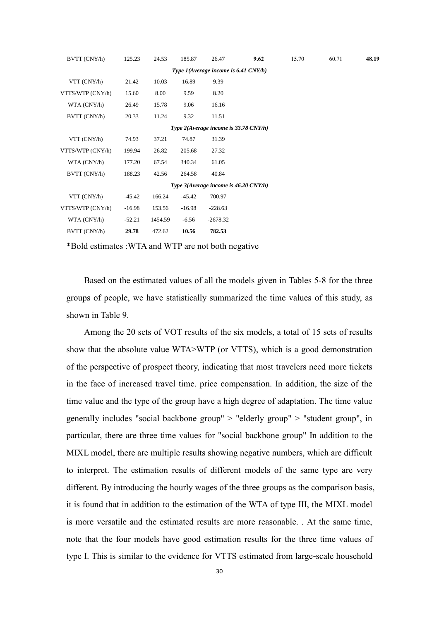| BVTT (CNY/h)      | 125.23   | 24.53   | 185.87   | 26.47                                   | 9.62 | 15.70 | 60.71 | 48.19 |
|-------------------|----------|---------|----------|-----------------------------------------|------|-------|-------|-------|
|                   |          |         |          | Type 1(Average income is 6.41 CNY/h)    |      |       |       |       |
| $VTT$ ( $CNY/h$ ) | 21.42    | 10.03   | 16.89    | 9.39                                    |      |       |       |       |
| VTTS/WTP (CNY/h)  | 15.60    | 8.00    | 9.59     | 8.20                                    |      |       |       |       |
| WTA (CNY/h)       | 26.49    | 15.78   | 9.06     | 16.16                                   |      |       |       |       |
| BVTT (CNY/h)      | 20.33    | 11.24   | 9.32     | 11.51                                   |      |       |       |       |
|                   |          |         |          | Type 2(Average income is 33.78 CNY/h)   |      |       |       |       |
| $VTT$ ( $CNY/h$ ) | 74.93    | 37.21   | 74.87    | 31.39                                   |      |       |       |       |
| VTTS/WTP (CNY/h)  | 199.94   | 26.82   | 205.68   | 27.32                                   |      |       |       |       |
| WTA (CNY/h)       | 177.20   | 67.54   | 340.34   | 61.05                                   |      |       |       |       |
| BVTT (CNY/h)      | 188.23   | 42.56   | 264.58   | 40.84                                   |      |       |       |       |
|                   |          |         |          | Type $3(Average income is 46.20 CNY/h)$ |      |       |       |       |
| $VTT$ ( $CNY/h$ ) | $-45.42$ | 166.24  | -45.42   | 700.97                                  |      |       |       |       |
| VTTS/WTP (CNY/h)  | $-16.98$ | 153.56  | $-16.98$ | $-228.63$                               |      |       |       |       |
| WTA (CNY/h)       | $-52.21$ | 1454.59 | $-6.56$  | $-2678.32$                              |      |       |       |       |
| BVTT (CNY/h)      | 29.78    | 472.62  | 10.56    | 782.53                                  |      |       |       |       |

\*Bold estimates :WTA and WTP are not both negative

Based on the estimated values of all the models given in Tables 5-8 for the three groups of people, we have statistically summarized the time values of this study, as shown in Table 9.

Among the 20 sets of VOT results of the six models, a total of 15 sets of results show that the absolute value WTA>WTP (or VTTS), which is a good demonstration of the perspective of prospect theory, indicating that most travelers need more tickets in the face of increased travel time. price compensation. In addition, the size of the time value and the type of the group have a high degree of adaptation. The time value generally includes "social backbone group" > "elderly group" > "student group", in particular, there are three time values for "social backbone group" In addition to the MIXL model, there are multiple results showing negative numbers, which are difficult to interpret. The estimation results of different models of the same type are very different. By introducing the hourly wages of the three groups as the comparison basis, it is found that in addition to the estimation of the WTA of type III, the MIXL model is more versatile and the estimated results are more reasonable. . At the same time, note that the four models have good estimation results for the three time values of type I. This is similar to the evidence for VTTS estimated from large-scale household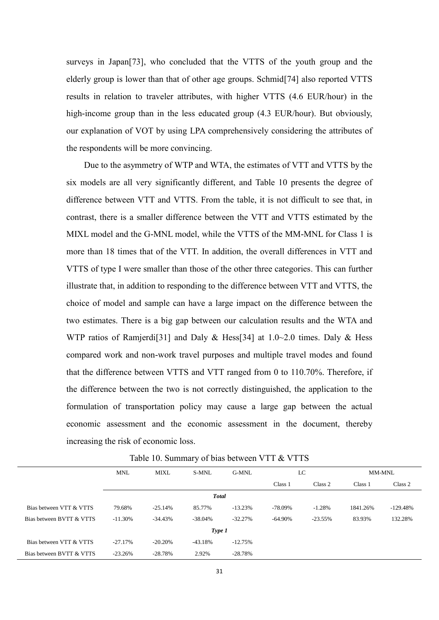surveys in Japan[73], who concluded that the VTTS of the youth group and the elderly group is lower than that of other age groups. Schmid[74] also reported VTTS results in relation to traveler attributes, with higher VTTS (4.6 EUR/hour) in the high-income group than in the less educated group (4.3 EUR/hour). But obviously, our explanation of VOT by using LPA comprehensively considering the attributes of the respondents will be more convincing.

Due to the asymmetry of WTP and WTA, the estimates of VTT and VTTS by the six models are all very significantly different, and Table 10 presents the degree of difference between VTT and VTTS. From the table, it is not difficult to see that, in contrast, there is a smaller difference between the VTT and VTTS estimated by the MIXL model and the G-MNL model, while the VTTS of the MM-MNL for Class 1 is more than 18 times that of the VTT. In addition, the overall differences in VTT and VTTS of type I were smaller than those of the other three categories. This can further illustrate that, in addition to responding to the difference between VTT and VTTS, the choice of model and sample can have a large impact on the difference between the two estimates. There is a big gap between our calculation results and the WTA and WTP ratios of Ramjerdi<sup>[31]</sup> and Daly & Hess<sup>[34]</sup> at 1.0~2.0 times. Daly & Hess compared work and non-work travel purposes and multiple travel modes and found that the difference between VTTS and VTT ranged from 0 to 110.70%. Therefore, if the difference between the two is not correctly distinguished, the application to the formulation of transportation policy may cause a large gap between the actual economic assessment and the economic assessment in the document, thereby increasing the risk of economic loss.

|                          | <b>MNL</b> | <b>MIXL</b> | S-MNL        | G-MNL      | LC         |            | MM-MNL   |            |
|--------------------------|------------|-------------|--------------|------------|------------|------------|----------|------------|
|                          |            |             |              |            | Class 1    | Class 2    | Class 1  | Class 2    |
|                          |            |             | <b>Total</b> |            |            |            |          |            |
| Bias between VTT & VTTS  | 79.68%     | $-25.14%$   | 85.77%       | $-13.23%$  | -78.09%    | $-1.28%$   | 1841.26% | $-129.48%$ |
| Bias between BVTT & VTTS | $-11.30%$  | $-34.43%$   | $-38.04%$    | $-32.27\%$ | $-64.90\%$ | $-23.55\%$ | 83.93%   | 132.28%    |
|                          |            |             | Type 1       |            |            |            |          |            |
| Bias between VTT & VTTS  | $-27.17%$  | $-20.20\%$  | $-43.18%$    | $-12.75%$  |            |            |          |            |
| Bias between BVTT & VTTS | $-23.26%$  | $-28.78%$   | 2.92%        | $-28.78%$  |            |            |          |            |

Table 10. Summary of bias between VTT & VTTS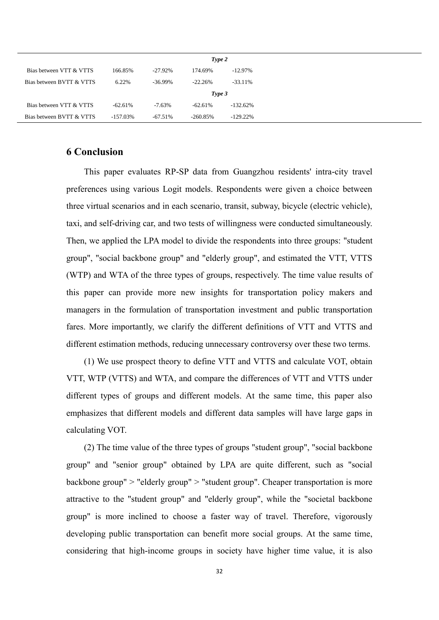|                          |           |            | Type 2     |             |
|--------------------------|-----------|------------|------------|-------------|
| Bias between VTT & VTTS  | 166.85%   | $-27.92\%$ | 174.69%    | $-12.97\%$  |
| Bias between BVTT & VTTS | 6.22%     | $-36.99\%$ | $-22.26%$  | $-33.11\%$  |
|                          |           |            | Type 3     |             |
| Bias between VTT & VTTS  | $-62.61%$ | $-7.63\%$  | $-62.61%$  | $-132.62\%$ |
| Bias between BVTT & VTTS | -157.03%  | $-67.51%$  | $-260.85%$ | $-129.22\%$ |

# **6 Conclusion**

This paper evaluates RP-SP data from Guangzhou residents' intra-city travel preferences using various Logit models. Respondents were given a choice between three virtual scenarios and in each scenario, transit, subway, bicycle (electric vehicle), taxi, and self-driving car, and two tests of willingness were conducted simultaneously. Then, we applied the LPA model to divide the respondents into three groups: "student group", "social backbone group" and "elderly group", and estimated the VTT, VTTS (WTP) and WTA of the three types of groups, respectively. The time value results of this paper can provide more new insights for transportation policy makers and managers in the formulation of transportation investment and public transportation fares. More importantly, we clarify the different definitions of VTT and VTTS and different estimation methods, reducing unnecessary controversy over these two terms.

(1) We use prospect theory to define VTT and VTTS and calculate VOT, obtain VTT, WTP (VTTS) and WTA, and compare the differences of VTT and VTTS under different types of groups and different models. At the same time, this paper also emphasizes that different models and different data samples will have large gaps in calculating VOT.

(2) The time value of the three types of groups "student group", "social backbone group" and "senior group" obtained by LPA are quite different, such as "social backbone group" > "elderly group" > "student group". Cheaper transportation is more attractive to the "student group" and "elderly group", while the "societal backbone group" is more inclined to choose a faster way of travel. Therefore, vigorously developing public transportation can benefit more social groups. At the same time, considering that high-income groups in society have higher time value, it is also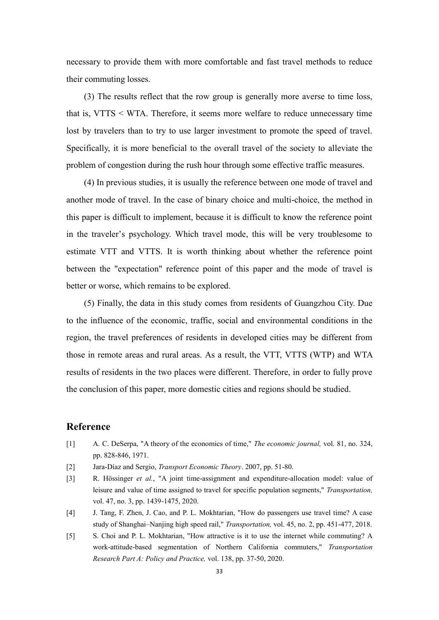necessary to provide them with more comfortable and fast travel methods to reduce their commuting losses.

(3) The results reflect that the row group is generally more averse to time loss, that is, VTTS < WTA. Therefore, it seems more welfare to reduce unnecessary time lost by travelers than to try to use larger investment to promote the speed of travel. Specifically, it is more beneficial to the overall travel of the society to alleviate the problem of congestion during the rush hour through some effective traffic measures.

(4) In previous studies, it is usually the reference between one mode of travel and another mode of travel. In the case of binary choice and multi-choice, the method in this paper is difficult to implement, because it is difficult to know the reference point in the traveler's psychology. Which travel mode, this will be very troublesome to estimate VTT and VTTS. It is worth thinking about whether the reference point between the "expectation" reference point of this paper and the mode of travel is better or worse, which remains to be explored.

(5) Finally, the data in this study comes from residents of Guangzhou City. Due to the influence of the economic, traffic, social and environmental conditions in the region, the travel preferences of residents in developed cities may be different from those in remote areas and rural areas. As a result, the VTT, VTTS (WTP) and WTA results of residents in the two places were different. Therefore, in order to fully prove the conclusion of this paper, more domestic cities and regions should be studied.

# **Reference**

- [1] A. C. DeSerpa, "A theory of the economics of time," *The economic journal,* vol. 81, no. 324, pp. 828-846, 1971.
- [2] Jara-Díaz and Sergio, *Transport Economic Theory*. 2007, pp. 51-80.
- [3] R. Hössinger *et al.*, "A joint time-assignment and expenditure-allocation model: value of leisure and value of time assigned to travel for specific population segments," *Transportation,*  vol. 47, no. 3, pp. 1439-1475, 2020.
- [4] J. Tang, F. Zhen, J. Cao, and P. L. Mokhtarian, "How do passengers use travel time? A case study of Shanghai–Nanjing high speed rail," *Transportation,* vol. 45, no. 2, pp. 451-477, 2018.
- [5] S. Choi and P. L. Mokhtarian, "How attractive is it to use the internet while commuting? A work-attitude-based segmentation of Northern California commuters," *Transportation Research Part A: Policy and Practice,* vol. 138, pp. 37-50, 2020.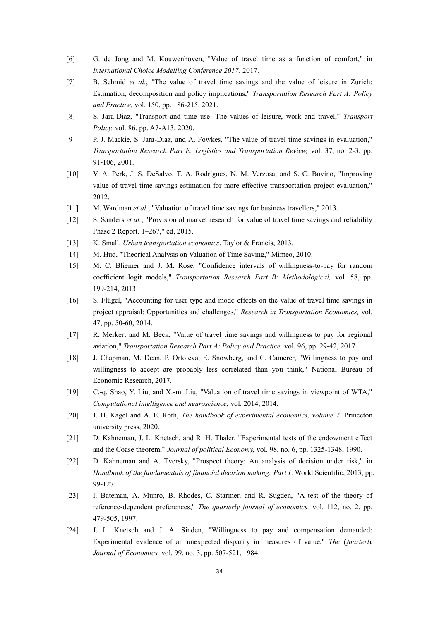- [6] G. de Jong and M. Kouwenhoven, "Value of travel time as a function of comfort," in *International Choice Modelling Conference 2017*, 2017.
- [7] B. Schmid *et al.*, "The value of travel time savings and the value of leisure in Zurich: Estimation, decomposition and policy implications," *Transportation Research Part A: Policy and Practice,* vol. 150, pp. 186-215, 2021.
- [8] S. Jara-Diaz, "Transport and time use: The values of leisure, work and travel," *Transport Policy,* vol. 86, pp. A7-A13, 2020.
- [9] P. J. Mackie, S. Jara-Dıaz, and A. Fowkes, "The value of travel time savings in evaluation," *Transportation Research Part E: Logistics and Transportation Review,* vol. 37, no. 2-3, pp. 91-106, 2001.
- [10] V. A. Perk, J. S. DeSalvo, T. A. Rodrigues, N. M. Verzosa, and S. C. Bovino, "Improving value of travel time savings estimation for more effective transportation project evaluation," 2012.
- [11] M. Wardman *et al.*, "Valuation of travel time savings for business travellers," 2013.
- [12] S. Sanders *et al.*, "Provision of market research for value of travel time savings and reliability Phase 2 Report. 1–267," ed, 2015.
- [13] K. Small, *Urban transportation economics*. Taylor & Francis, 2013.
- [14] M. Hug, "Theorical Analysis on Valuation of Time Saving," Mimeo, 2010.
- [15] M. C. Bliemer and J. M. Rose, "Confidence intervals of willingness-to-pay for random coefficient logit models," *Transportation Research Part B: Methodological,* vol. 58, pp. 199-214, 2013.
- [16] S. Flügel, "Accounting for user type and mode effects on the value of travel time savings in project appraisal: Opportunities and challenges," *Research in Transportation Economics,* vol. 47, pp. 50-60, 2014.
- [17] R. Merkert and M. Beck, "Value of travel time savings and willingness to pay for regional aviation," *Transportation Research Part A: Policy and Practice,* vol. 96, pp. 29-42, 2017.
- [18] J. Chapman, M. Dean, P. Ortoleva, E. Snowberg, and C. Camerer, "Willingness to pay and willingness to accept are probably less correlated than you think," National Bureau of Economic Research, 2017.
- [19] C.-q. Shao, Y. Liu, and X.-m. Liu, "Valuation of travel time savings in viewpoint of WTA," *Computational intelligence and neuroscience,* vol. 2014, 2014.
- [20] J. H. Kagel and A. E. Roth, *The handbook of experimental economics, volume 2*. Princeton university press, 2020.
- [21] D. Kahneman, J. L. Knetsch, and R. H. Thaler, "Experimental tests of the endowment effect and the Coase theorem," *Journal of political Economy,* vol. 98, no. 6, pp. 1325-1348, 1990.
- [22] D. Kahneman and A. Tversky, "Prospect theory: An analysis of decision under risk," in *Handbook of the fundamentals of financial decision making: Part I*: World Scientific, 2013, pp. 99-127.
- [23] I. Bateman, A. Munro, B. Rhodes, C. Starmer, and R. Sugden, "A test of the theory of reference-dependent preferences," *The quarterly journal of economics,* vol. 112, no. 2, pp. 479-505, 1997.
- [24] J. L. Knetsch and J. A. Sinden, "Willingness to pay and compensation demanded: Experimental evidence of an unexpected disparity in measures of value," *The Quarterly Journal of Economics,* vol. 99, no. 3, pp. 507-521, 1984.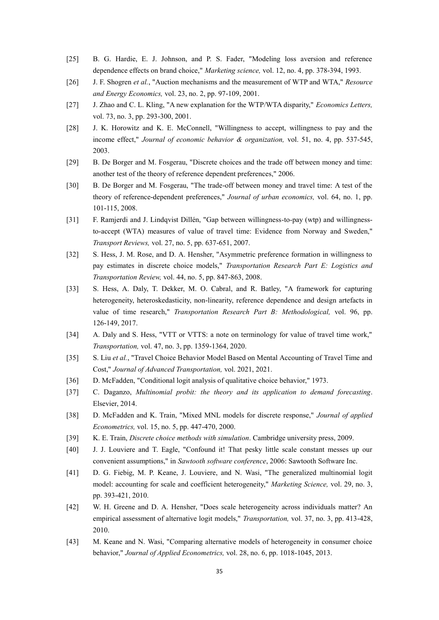- [25] B. G. Hardie, E. J. Johnson, and P. S. Fader, "Modeling loss aversion and reference dependence effects on brand choice," *Marketing science,* vol. 12, no. 4, pp. 378-394, 1993.
- [26] J. F. Shogren *et al.*, "Auction mechanisms and the measurement of WTP and WTA," *Resource and Energy Economics,* vol. 23, no. 2, pp. 97-109, 2001.
- [27] J. Zhao and C. L. Kling, "A new explanation for the WTP/WTA disparity," *Economics Letters,*  vol. 73, no. 3, pp. 293-300, 2001.
- [28] J. K. Horowitz and K. E. McConnell, "Willingness to accept, willingness to pay and the income effect," *Journal of economic behavior & organization,* vol. 51, no. 4, pp. 537-545, 2003.
- [29] B. De Borger and M. Fosgerau, "Discrete choices and the trade off between money and time: another test of the theory of reference dependent preferences," 2006.
- [30] B. De Borger and M. Fosgerau, "The trade-off between money and travel time: A test of the theory of reference-dependent preferences," *Journal of urban economics,* vol. 64, no. 1, pp. 101-115, 2008.
- [31] F. Ramjerdi and J. Lindqvist Dillén, "Gap between willingness‐to‐pay (wtp) and willingness‐ to-accept (WTA) measures of value of travel time: Evidence from Norway and Sweden." *Transport Reviews,* vol. 27, no. 5, pp. 637-651, 2007.
- [32] S. Hess, J. M. Rose, and D. A. Hensher, "Asymmetric preference formation in willingness to pay estimates in discrete choice models," *Transportation Research Part E: Logistics and Transportation Review,* vol. 44, no. 5, pp. 847-863, 2008.
- [33] S. Hess, A. Daly, T. Dekker, M. O. Cabral, and R. Batley, "A framework for capturing heterogeneity, heteroskedasticity, non-linearity, reference dependence and design artefacts in value of time research," *Transportation Research Part B: Methodological,* vol. 96, pp. 126-149, 2017.
- [34] A. Daly and S. Hess, "VTT or VTTS: a note on terminology for value of travel time work," *Transportation,* vol. 47, no. 3, pp. 1359-1364, 2020.
- [35] S. Liu et al., "Travel Choice Behavior Model Based on Mental Accounting of Travel Time and Cost," *Journal of Advanced Transportation,* vol. 2021, 2021.
- [36] D. McFadden, "Conditional logit analysis of qualitative choice behavior," 1973.
- [37] C. Daganzo, *Multinomial probit: the theory and its application to demand forecasting*. Elsevier, 2014.
- [38] D. McFadden and K. Train, "Mixed MNL models for discrete response," *Journal of applied Econometrics,* vol. 15, no. 5, pp. 447-470, 2000.
- [39] K. E. Train, *Discrete choice methods with simulation*. Cambridge university press, 2009.
- [40] J. J. Louviere and T. Eagle, "Confound it! That pesky little scale constant messes up our convenient assumptions," in *Sawtooth software conference*, 2006: Sawtooth Software Inc.
- [41] D. G. Fiebig, M. P. Keane, J. Louviere, and N. Wasi, "The generalized multinomial logit model: accounting for scale and coefficient heterogeneity," *Marketing Science,* vol. 29, no. 3, pp. 393-421, 2010.
- [42] W. H. Greene and D. A. Hensher, "Does scale heterogeneity across individuals matter? An empirical assessment of alternative logit models," *Transportation,* vol. 37, no. 3, pp. 413-428, 2010.
- [43] M. Keane and N. Wasi, "Comparing alternative models of heterogeneity in consumer choice behavior," *Journal of Applied Econometrics,* vol. 28, no. 6, pp. 1018-1045, 2013.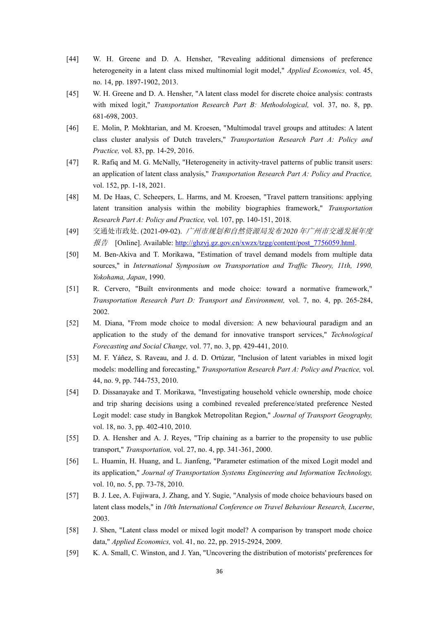- [44] W. H. Greene and D. A. Hensher, "Revealing additional dimensions of preference heterogeneity in a latent class mixed multinomial logit model," *Applied Economics,* vol. 45, no. 14, pp. 1897-1902, 2013.
- [45] W. H. Greene and D. A. Hensher, "A latent class model for discrete choice analysis: contrasts with mixed logit," *Transportation Research Part B: Methodological,* vol. 37, no. 8, pp. 681-698, 2003.
- [46] E. Molin, P. Mokhtarian, and M. Kroesen, "Multimodal travel groups and attitudes: A latent class cluster analysis of Dutch travelers," *Transportation Research Part A: Policy and Practice,* vol. 83, pp. 14-29, 2016.
- [47] R. Rafiq and M. G. McNally, "Heterogeneity in activity-travel patterns of public transit users: an application of latent class analysis," *Transportation Research Part A: Policy and Practice,*  vol. 152, pp. 1-18, 2021.
- [48] M. De Haas, C. Scheepers, L. Harms, and M. Kroesen, "Travel pattern transitions: applying latent transition analysis within the mobility biographies framework," *Transportation Research Part A: Policy and Practice,* vol. 107, pp. 140-151, 2018.
- [49] 交通处市政处. (2021-09-02). 广州市规划和自然资源局发布 *2020* 年广州市交通发展年度 报告 **[Online].** Available: http://ghzyj.gz.gov.cn/xwzx/tzgg/content/post 7756059.html.
- [50] M. Ben-Akiva and T. Morikawa, "Estimation of travel demand models from multiple data sources," in *International Symposium on Transportation and Traffic Theory, 11th, 1990, Yokohama, Japan*, 1990.
- [51] R. Cervero, "Built environments and mode choice: toward a normative framework," *Transportation Research Part D: Transport and Environment,* vol. 7, no. 4, pp. 265-284, 2002.
- [52] M. Diana, "From mode choice to modal diversion: A new behavioural paradigm and an application to the study of the demand for innovative transport services," *Technological Forecasting and Social Change,* vol. 77, no. 3, pp. 429-441, 2010.
- [53] M. F. Yáñez, S. Raveau, and J. d. D. Ortúzar, "Inclusion of latent variables in mixed logit models: modelling and forecasting," *Transportation Research Part A: Policy and Practice,* vol. 44, no. 9, pp. 744-753, 2010.
- [54] D. Dissanayake and T. Morikawa, "Investigating household vehicle ownership, mode choice and trip sharing decisions using a combined revealed preference/stated preference Nested Logit model: case study in Bangkok Metropolitan Region," *Journal of Transport Geography,*  vol. 18, no. 3, pp. 402-410, 2010.
- [55] D. A. Hensher and A. J. Reyes, "Trip chaining as a barrier to the propensity to use public transport," *Transportation,* vol. 27, no. 4, pp. 341-361, 2000.
- [56] L. Huamin, H. Huang, and L. Jianfeng, "Parameter estimation of the mixed Logit model and its application," *Journal of Transportation Systems Engineering and Information Technology,*  vol. 10, no. 5, pp. 73-78, 2010.
- [57] B. J. Lee, A. Fujiwara, J. Zhang, and Y. Sugie, "Analysis of mode choice behaviours based on latent class models," in *10th International Conference on Travel Behaviour Research, Lucerne*, 2003.
- [58] J. Shen, "Latent class model or mixed logit model? A comparison by transport mode choice data," *Applied Economics,* vol. 41, no. 22, pp. 2915-2924, 2009.
- [59] K. A. Small, C. Winston, and J. Yan, "Uncovering the distribution of motorists' preferences for